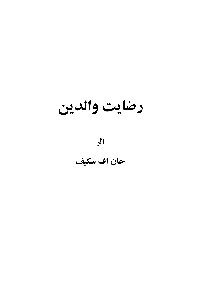رضايت والدين

اثر

جان اف سكيف

 $\ddot{\phantom{0}}$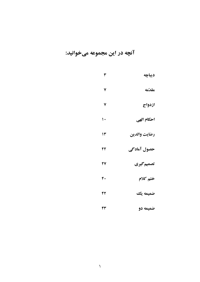# آنچه در این مجموعه میخوانید:

| ديباچه       | ٣            |
|--------------|--------------|
| مقدّمه       | ٧            |
| ازدواج       | ٧            |
| احكام الهي   | $\mathsf{L}$ |
| رضايت والدين | ۱۳           |
| حصول آمادگی  | ٢٢           |
| تصميم گيري   | 27           |
| ختم كلام     | ۴.           |
| ضميمه يك     | ۴۲           |
| ضميمه دو     | ۴۳           |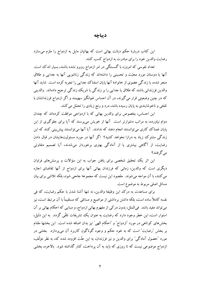### ديباجه

این کتاب دربارهٔ حکم دیانت بهائی است که بهائیان مایل به ازدواج را ملزم میسازد رضایت والدین خود را برای مبادرت به ازدواج کسب کنند.

تعداد نفوسی که امروزه با گسستگی در امر ازدواج روبرو نشده باشند، بسیار اندک است. آنها یا دوستان مورد محبّت و تحسینی را داشتهاند که زندگی زناشویی آنها به جدایی و طلاق منجر شده، یا زندگی عضوی از خانوادهٔ آنها پایان اسفناک جدایی را تجربه کرده است. شاید آنها والدین فرزندانی باشند که طلاق یا جدایی را بر زندگی با شریک زندگی ترجیح دادهاند. والدینی که در چنین وضعیتی قرار میگیرند، در آن احساس غم|نگیز سهیمند و اگر ازدواج فرزندانشان با تلخی و ناخوشایندی به پایان رسیده باشد، درد و رنج زیادی را تحمّل می کنند.

این احساس، بخصوص برای والدین بهائی که با ازدواجی موافقت کردهاند که چندان دوام نیاورده، به مراتب دشوارتر است. آنها از خویش میپرسند که آیا برای جلوگیری از این پایان غمناک ککاری میتوانستند انجام دهند که ندادند. آیا آنها میتوانستند پیش بینی کنند که این زندگی مشترک زیاد به درازا نخواهد کشید؟ اگر آنها در مورد مسئولیتهایشان در قبال دادن رضایت، از آگاهی بیشتری یا از آمادگی بهتری برخوردار می شدند، آیا تصمیم متفاوتی مے گرفتند؟

این اثر یک تحقیق شخصی برای یافتن جواب به این سؤالات و پرسشهای فراوان دیگری است که والدین، زمانی که فرزندان بهائی آنها برای ازدواج از آنها تقاضای اجازه می کنند، با آن مواجه میشوند. مقصود این نیست که مجموعهٔ جامعی شود، بلکه تلاشی برای بیان مسائل اصلي مربوط به موضوع است.

براي مساعدت به درك اين وظيفه والدين، نه تنها آشنا شدن با حكم رضايت، كه في نفسه کاملاً ساده است، بلکه داشتن برداشتی از مواضیع و مسائلی که مستقیماً با آن مرتبط است، نیز می تواند مفید باشد. فیالمثل، بدون در کی از مفهوم بهائی ازدواج، و مبنایی که احکام بهائی بر آن استوار است، این خطر وجود دارد که رضایت به عنوان یک تشریفات تلقّی گردد. به این دلیل، بخشهای کوتاهی در مورد "ازدواج" و "احکام الهی" نیز بدان اضافه شده است. این بخشها مقدّم بر بخش ″رضایت″ است که به خود حکم و وجوه گوناگون کاربرد آن میپردازد. بخشی در مورد "حصول آمادگی" برای والدین و نیز فرزندان، به این علّت افزوده شده که، به نظر مؤلّف، ازدواج موضوعی نیست که تا روزی که باید به آن پرداخت، کنار گذاشته شود. بالاخره، بخشی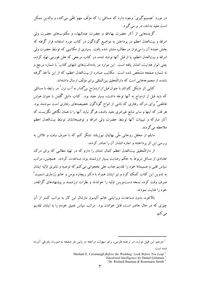در مورد ″تصمیمگیری″ وجود دارد که مسائلی را که مؤلّف مهمّ تلقّی میکند، و والدین ممکن است مفید بدانند، در بر می گیرد.

گزیدههایی از آثار حضرت بهاءالله و حضرت عبدالبهاء، و مکتوبهای حضرت ولی امرالله و بیتالعدل اعظم در پرداختن به مواضیع گوناگون در کتاب مورد استفاده قرار گرفته که بخش عمدهٔ آن را می توان در مطالب منتشر شده یافت. بسیاری از مکاتیبی که توسّط حضرت ولی امرالله و بیتالعدل اعظم، یا از قبَل آنها نوشته شده، در کتاب مرجعی که هلن هورنبی تهیّه کرده، یعنی انوار هدایت، انتشار یافته است. این موارد در یادداشتهای انتهای کتاب ٰ با شماره مرجع و نه شماره صفحه مشخّص شده است. مکاتیب صادره از بیتالعدل اعظم، که از این مآخذ گرفته نشده، از مجموعههایی است که دارالتّحقیق بینالمللی برای مؤلّف ارسال داشتهاند.

کتابی اثر مایکل کاواناو با عنوان *قبل از ازدواج: بیگدار به آب نزن <sup>۲</sup>* در رابطه با مسائل<sub>ی</sub> که باید قبل از ازدواج به آنها توجّه داشت، بسیار مفید بود. کتاب دانیل گُلمَن با عنوان *هوش عاطفی" بر*ای درک رفتاری که ناشی از انواع گوناگون خصیصههای رفتاری است سودمند بود. هر قدر که اینها و سایر منابع غیرامری مفید باشند، هرگز نباید آنها را با همان نگاهی نگریست که ۔<br>آثار مبارکه و تبیینات آنها توسّط حضرت ولم<sub>ی</sub> امرالله و توضیحاتشان توسّط بیتالعدل اعظم ملاحظه مي گر دند.

مایلم از محفل روحانی ملّی بهائیان نیوزیلند تشکّر کنم که با صرف وقت و تلاش به بررسی این اثر پرداختند و اجازه انتشار آن را صادر کردند.

از دارالتَّحقیق بیتالعدل اعظم کمال امتنان را دارم که در تهیّه مطالبی که برای درک تعدادی از مسائل مربوط به حکم رضایت بسیار ارزشمند بود، مساعدت کردند. همچنین، مراتب سياس قلبي و صميمانهٔ خود را تقديم جناب علي نخجواني مي كنم كه توصيه و تشويق اوَّليه ايشان به تدوین این کتاب کمک کرد و نیز ایشان همراه با دکتر ریچارد بومن و خانم رُزماری اسمیت ٔ صرف وقت کرده نسخه دستنو سر اوّلیه را خواندند و نظرات ارزشمند و پیشنهادهای گرانقدر خود را عنايت نمودند.

بالاخره، بدون مساعدت ویرایشی خانم آلیسون مارشال این کار به مراتب کمتر از آن چیزی که در حال حاضر است، قابل خواندن بود. ً مراتب سپاس عمیق خودم را به ایشان تقدیم می کنم.

<sup>1</sup> مترجم: این قبیل موارد، در ترجمه فارسی، برای سهولت مراجعه در پایین هر صفحه به صورت پاورقی آورده شده است.

Emotional Intelligence by Daniel Goleman<sup>3</sup>

Michael E. Cavanaugh: Before the Wedding: Look Before You Leap<sup>2</sup>

Dr. Richard Bauman & Rosemarie Smith<sup>4</sup>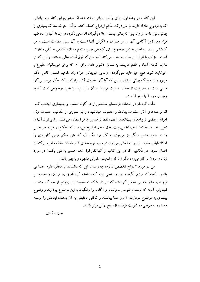این کتاب در وهلهٔ اولی برای والدین بهائی نوشته شد، امّا امیدوارم این کتاب به بهائیانی که به ازدواج علاقه دارند نیز در درک حکم ازدواج کمک کند. مؤلّف متوجّه شد که بسیاری از بهائیان نیاز دارند از والدینی که بهائی نیستند اجازه بگیرند، امّا سعی نکرده در اینجا آنها را مخاطب قرار دهد زیرا آگاهی آنها از امر مبارک وو نگرش آنها نسبت به آن بسیار متفاوت است، و هر کوششی برای پرداختن به این موضوع برای گروهی چنین متنوّع مستلزم اقدامی به کلّی متفاوت است. مؤلَّف با ابراز این نظر، احساس میکند آثار مبارکه فوقالعاده عالمی هستند، و این که از ملایم کردن آنها، یا ظاهر فریبنده به مسائل دشوار دادن برای آن که برای غیربهائیان مطبوع و خوشایند شود، هیچ چیز عاید نمیگردد. والدین غیربهائی حقّ دارند مفاهیم ضمنی کامل حکم مزبور را از دیدگاه بهائی بدانند، و این که آیا آنها حقیقت آثار مبارکه را که حکم مزبور بر آنها مبتنی است، و مصونیت از خطای هدایت مربوط به آن را بیذیرند یا خیر، موضوعی است که به وجدان خود آنها مربوط است.

دقّت کردهام در استفاده از ضمایر شخصی از هر گونه تعصّب و جانبداری اجتناب کنم. امّا ترجمههای آثار حضرت بهاءالله و حضرت عبدالبهاء، و نیز بسیاری از مکاتیب حضرت ولی امرالله و بعضی از پیامهای بیتالعدل اعظم، فقط از ضمیر مذکّر استفاده می کنند، و نمی توان آنها را تغییر داد. در مقدّمهٔ کتاب اقدس، بیتالعدل اعظم توضیح میدهند که احکام در مورد هر جنس را در مورد جنس دیگر نیز میتوان به کار برد مگر آن که متن حکم چنین کاربردی را امکانناپذیر سازد. این را به آسانی می توان در مورد ترجمههای آثار طلعات مقدّسهٔ امر مبارک نیز اعمال نمود. در مکاتیبی که در این کتاب از آنها نقل قول شده، ضمیر به طور یکسان در مورد زنان و مردان به کار میرود مگر آن که وضعیت متفاوتی مشهود و بدیهی باشد.

من در مورد ازدواج تخصّص ندارم، چه رسد به این که دانشمند یا محقّق علوم اجتماعی باشم. آنچه که مرا برانگیخته درد و رنجی بوده که مشاهده کردهام زنان، مردان، و بخصوص فرزندان خانوادههایی تحمّل کردهاند که در اثر شکست مصیبتبار ازدواج از هم گسیختهاند. امیدوارم آنچه که نوشتهام نفوسی مجرّبتر و آگاهتر را برانگیزد به این موضوع بپردازند و وضوح بیشتری به موضوع بیردازند، آن را معنا ببخشند و شکلی تحقیقی به آن بدهند، ابعادش را توسعه دهند، و به طریقی در تقویت مؤسّسهٔ ازدواج بهائی مؤثّر باشند.

جان اسكىف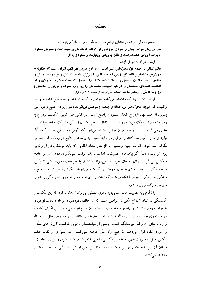#### مقدّمه

حضرت ولي امرالله در ابتداى توقيع منيع "قد ظهر يوم الميعاد" مىفرمايند: در این زمان سراسر جهان را طوفان خروشانی فرا گرفته که شدّتش بیسابقه است و مسیرش نامعلوم؛ تأثیرات آنیاش دهشتزاست و نتائج نهائیاش بینهایت پر شکوه و جلال.

ایشان در ادامه می فرمایند:

عالم انسانی در قبضهٔ قوّهٔ مخرّبهاش اسیر است ... به این صرصر قهر الهی نگران است که چگونه به دورترین و آبادترین نقاط کرهٔ زمین تاخته، بنیانش را متزلزل ساخته، تعادلش را بر هم زده، مللش را منقسم نموده، خانمان مردمش را بر باد داده، بلادش را مضمحل کرده، شاهانش را به جلای وطن افکنده، قلعههای محکمش را در هم کوبیده، مؤسّساتش را زیر و زبر نموده و نورش را خاموش و روح ساكنانش را رنجور ساخته است. (نقل ترجمه از صفحه ۲-۱ قرن انوار)

از تأثیرات آنچه که مشاهده می کنیم حواس ما کرخت شده و خود فلج شدهایم و این واقعیت که **تیروی محرّکهاش بیرحمانه بر وسعت و سرعتش میافزاید**"، هر روز در جمیع وجوه امور بشری، از جمله نهاد ازدواج کاملاً مشهود و واضح است. در کشورهای غربی، شکست ازدواج به رقم ۵۰ درصد نزدیک می شود، و در سایر مناطق، از هم پاشیدن زندگی مشترک به نحو فزایندهای عادّی میگردد. از ازدواجها چنان چشم پوشیده میشود که گویی محصولی هستند که دیگر نیازهای ما را تأمین نمی کنند و در این میان ابداً نسبت به پیامدها یا نتایج درازمدّت آن احساس نگرانی نمی شود. اثرات چنین وضعیتی با افزایش تعداد اطفالی که باید توسّط یکی از والدین پرورش پابند، غالباً، اگر پیامدهای مصیبتبار نداشته باشد، عواقب غمانگیز دارد، در سراسر جامعه منعکس میگردد. زنان به حال خود رها میشوند و اطفال با جراحات معنوی ناشی از پأس، سرخوردگي، اندوه و خشم به حال خويش وا گذاشته مي شوند. نگرش ها نسبت به ازدواج و زندگی خانوادگی آنچنان آشفته می شود که تعداد زیادی از مردم را از ورود به زندگی زناشویی مأبوس می کند و باز مے دارد.

با نگاهی به مصیبت عالم انسانی، به نحوی منطقی میتوان استدلال کرد که این شکست و گسستگی در نهاد ازدواج یکی از عواملی است که "... خانمان مردمش را بر باد داده ... نورش را خاموش و روح ساکنانش را رنجور ساخته است." دانشمندان علوم اجتماعی و سایرین نگران آینده و در جستجوی جواب برای این مسأله هستند. تعداد نظریههای متناقض در خصوص علل این مسأله و راهحلهای آن واقعاً حیرتانگیز است. بعضی از سیاستمداران غربی شکست "ارزشهای سنّتی" را مورد انتقاد قرار میدهند امّا هیچ راه حلّی عرضه نمیکنند. در بسیاری از نقاط عالم، عکسالعمل به صورت ظهور مجدّد بنیادگرایی مذهبی ظاهر شده، امّا در شرق و غرب، حامیان و مبلَّغان آن این را به عنوان بهترین قوّهٔ دفاعیه علیه از بین رفتن ارزش های سنّتی، هر چه که باشد، مشاهده می کنند.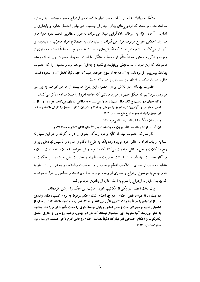متأسَّفانه بهائيان عالم از اثرات مصيبتبار شكست در ازدواج مصون نيستند. به راستي، شواهد نشان میٖدهد که ازدواجهای بهائی بیش از جمعیت غیربهائی احتمال تداوم و پایداری را ندارند. آحاد احبّاء به سرطان مادّهگرایی مبتلا می شوند، به طور نامطلوبی تحت نفوذ معیارهای متداول اخلاقی جوامع مربوطه قرار میگیرند، و بیانیههای به اصطلاح افراد مجرّب و دنیادیده بر آنها اثر می گذارد. نتیجه این است که نگرش های ما نسبت به ازدواج، و مسلّماً نسبت به بسیاری از وجوه زندگی ما، هنوز عمدةً متأثّر از محیط فرهنگی ما است. معهذا، حضرت ولی امرالله وعده فرمودند که این طوفان "... **نتائجش بینهایت پرشکوه و جلال**" خواهد بود و مدنیتی را که حضرت بهاءالله ييش بيني فرمودهاند "به آن درجه از بلوغ خواهد رسيد كه جهان قبلاً تخطّر آن را ننموده است" (نقل ترجمهٔ بیان مذکور در قد ظهر یوم المیعاد از پیام رضوان ۱۲۴ بدیع)

حضرت بهاءالله، در تلاش برای حصول این بلوغ مدنیت، از ما میخواهند به بررسی مواردی بیر دازیم که هیکل اطهر در مورد مسائلی که جامعهٔ امروز را مبتلا ساخته، ذکر می کنند:

رگ جهان در دست پزشک دانا است؛ درد را می بیند و به دانایی درمان می کند. هر روز را رازی است و هر سر را آوازی؛ درد امروز را درمانی و فردا را درمان دیگر. آمروز را نگران باشید و سخن از امروز رانيد. (مجموعه الواح طبع مصر، ص ٢۶١)

و در بيان ديگر (كتاب اقدس، بند٢)مي فر مايند:

انّ الّذين اوتوا بصائر من الله، يرون حدودَالله السّبب الأعظم لنظم العالم و حفظ الامم.

آثار مبارکهٔ حضرت بهاءالله کلّیّه وجوه زندگی بشری را در بر گرفته و در این سبیل نه تنها به ارتباط افراد با خالق خود می پردازد، بلکه به طرح احکام و حدود و تأسیس نهادهایی برای رفع مشکلات و حلِّ مسائلی مبادرت می کند که ما افراد و نیز جوامع را مبتلا ساخته است. علاوه بر آثار حضرت بهاءالله، ما از تبیینات حضرت عبدالبهاء و حضرت ولی امرالله و نیز حکمت و هدایت مصون از خطای بیتالعدل اعظم برخورداریم. حضرت بهاءالله، در بخشی از این آثار به طور جامع به موضوع ازدواج و بسیاری از وجوه مربوط به آن پرداخته و حکمی را نازل فرمودهاند كه بهائيان مايل به ازدواج را ملزم به اخذ اجازه از والدين خود مي كند.

بیتالعدل اعظم، در یکی از مکاتیب خود، اهمیّت این حکم را روشن کردهاند: در بسیاری از موارد نقض احکام ازدواج، احبّاء آشکارا حکم مربوط به لزوم کسب رضای والدین قبل از ازدواج را صرفاً مقرّرات اداری تلقّی می کنند و به نظر نمیرسد متوجّه باشند که این حکم از اهمَّيَّتي عظيم برخوردار است و نفس اساس و بنيان جامعهٔ بشري را تحت تأثير قرار ميدهد. بعلاوه، به نظر میرسد آنها متوّجه این موضوع نیستند که در امر بهائی، وجوه روحانی و اداری مکمّل يكديگرند و احكام اجتماعي امر مبارك دقيقاً همانند احكام روحاني لازمالاجرا هستند. (ترجمه ـ انوار هدایت، شماره ۱۲۳۶)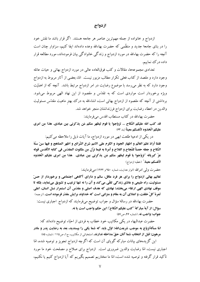#### ازدواج

ازدواج و خانواده از جمله مهم ترین عناصر هر جامعه هستند. اگر قرار باشد ما نقش خود را در بنای جامعهٔ جدید و منظّمی که حضرت بهاءالله وعده دادهاند ایفا کنیم، سزاوار چنان است آنچه را که حضرت بهاءالله در مورد ازدواج و زندگی خانوادگی بیان فرمودهاند، مورد مطالعه قرار داده در ک نماییم.

تعدادی مجموعهها، مقالات و کتب فوقالعاده عالی در مورد ازدواج بهائی و حیات عائله وجود دارد و مقصد از کتاب فعلی تکرار مطالب مزبور نیست. امّا، بعضی از آثار مربوط به ازدواج وجود دارد که به نظر میرسد با موضوع رضایت در امر ازدواج مرتبط باشد. آنچه که از اهمّیّت ویژه برخوردار است مواردی است که به تقدّس و مقصود از این نهاد الهی مربوط میشود. برداشتی از آنچه که مقصود از ازدواج بهائی است، انشاءالله به درک بهتر ماهیت مقدّس مسئولیت والدين در اعطاء رضايت براى ازدواج فرزندانشان منجر خواهد شد.

حضرت بهاءالله در كتاب مستطاب اقدس مىفرمايند:

قد كتب الله عليكم النَّكاح … تزوَّجوا يا قوم ليظهر منكم مَن يذكرني بين عبادي. هذا مِن امرى عليكم اتّخذوه لأنفسكم معيناً (بند 63)

در یکی از ادعیهٔ طلعت ابهی در مورد ازدواج، ما آیات ذیل را ملاحظه می کنیم: فلمّا أرادَ نظمَ العالَم و اظهار الجود و الكرم على الامم شرع الشّرائع و اظهر المناهج و فيها سنّ سنّة النَّكاح و جعله حصناً للنَّجاح و الفلاح و أمرنا به فيما نزَّل من ملكوت المقدَّس في كتابه الأقدس قوله عزّ كبريائه ،"تزوّجوا يا قوم ليظهر منكم مَن يذكرني بين عبادى. هذا مِن امرى عليكم اتّخذوه **لأنفسكم معينا.**" (خطبه ازدواج)

حضرت ولي امرالله (انوار هدايت، شماره ۹۵۰ و ۱۲۶۲) مي فرمايند:

تعالیم بهائی ازدواج را برای هر فرد عاقل، سالم و دارای آگاهی اجتماعی و برخوردار از حسّ مسئولیت، راه طبیعی و عادّی زندگی تلقّی می کند و آن را نه تنها ترغیب و تشویق مینماید، بلکه تا موقف نهادی الهی ارتقاء میبخشد؛ نهادی که هدف اصلی و مقدّس آن استمرار نسل انسان، اعلی ثمرهٔ کلّ خلقت، و اعتلای آن به مقام و منزلتی است که خداوند برایش مقدّر فرموده است. (ترجمه)

حضرت بهاءالله در رسالهٔ سؤال و جواب توضیح میفرمایند که ازدواج اجباری نیست: سؤال: از آيهٔ مباركهٔ "كتب عليكم النّكاح"؛ اين حكم واجب است يا نه. جواب: واجب نه. (شماره ۴۶، ص٧۵)

حضرت عبدالبهاء در یکی مکاتیب خود خطاب به فردی از احبّاء توضیح دادهاند که: امّا مسألهٌتزوّج به موجب شریعتالله؛ اوّل باید که شما یکی را بپسندید، بعد به رضایت پدر و مادر هرهون؛ قبل از انتخاب شما آنان حقّ مداخله ندارند. (منتخباتی از مکاتیب، ج١، ص١١٥ / شماره ٨٥)

این گزیدههای بیانات مبارکه گویای آن است که اگرچه ازدواج تجویز و توصیه شده، امّا اجباری نیست، امّا رضایت والدین ضروری است. ازدواج برای صلاح و مصلحت خود ما مورد تأكيد قرار گرفته و توصيه شده است، امّا ما مختاريم تصميم بگيريم كه آيا ازدواج كنيم يا نكنيم،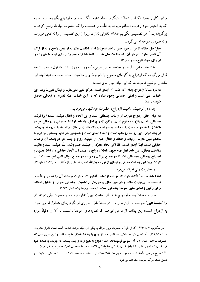و این کار را بدون اکراه یا دخالت دیگران انجام دهیم. اگر تصمیم به ازدواج بگیریم، باید بدانیم که به اختیار خود رعایت احکام مربوط به عفّت و عصمت را که حضرت بهاءالله وضع کردهاند برگزیدهایم.' هر تصمیمی بگیریم عندالله تفاوتی ندارد، زیرا از این تصمیم، او را نه نفعی میرسد و نه ضرري متوجّه او مي گردد.

حقّ جلّ جلاله از برای خود چیزی اخذ ننموده؛ نه از اطاعت عالم به او نفعی راجع و نه از ترک آن نقصی وارد. در هر آن طیر ملکوت بیان به این کلمه ناطق: جمیع را از برای تو خواستم و تو را **از برای خود.** (لوح مقصود، ص۳)

با توجّه به این نظریه در جامعهٔ معاصر غربی، که روز به روز بیشتر متداول و مورد توجّه قرار می گیرد، که ازدواج به گونهای منسوخ یا نامربوط و بی مناسبت است، حضرت عبدالبهاء این نکته را توضیح فرمودهاند که این نهاد الهی ابدی است:

دربارهٔ مسألهٔ ازدواج، بدان که حکم آن ابدی است؛ هرگز تغییر نمینماید و تبدّل نمی بذیرد. این خلقت الهی است و ادنی احتمالی وجود ندارد که در این خلقت الهیّه تغییری یا تبدیلی حاصل **شود.** (ترجمه)<sup>۲</sup>

بعد، در توصیف ماهیت ازدواج، حضرت عبدالبهاء میفرمایند:

در میان خلق ازدواج عبارت از ارتباط جسمانی است و این اتّحاد و اتّفاق موقّت است؛ زیرا فرقت جسمانی عاقبت مقرّر و محتوم است. ولکن ازدواج اهل بهاء باید ارتباط جسمانی و روحانی هر دو باشد؛ زیرا هر دو سرمست یک جامند و منجذب به یک طلعت پیمثال؛ زنده به یک روحند و روشن از یک انوار. این روابط روحانیّه است و اتّحاد ابدی است و همچنین در عالم جسمانی نیز ارتباط محکم متین دارند؛ ارتباط و اتّحاد و اتّفاق چون از حیثیّت روح و جسم هر دو باشد، آن وحدت حقيقي است، لهذا ابدي است. امّا اگر اتّحاد مجرّد از حيثيّت جسم باشد، البتّه موقّت است و عاقبت مفارقت محقّق. ۖ پس باید اهل بهاء چون رابطهٔ ازدواج در میان آید،اتّحاد حقیقی و ارتباط معنوی و اجتماع روحانی وجسمانی باشد تا در جمیع مراتب وجود و در جمیع عوالم الهی این وحدت ابدی گردد؛ زیرا این وحدت حقیقی جلوهای از نور محبّتالله است. (منتخباتی از مکاتیب، ص١١٤ / شماره ٨٤

و حضرت ولي امرالله مي فرمايند:

ابتدا باید صریحاً تأکید شود که مؤسّسهٔ ازدواج، آنطور که حضرت بهاءالله آن را تصویر و تأسیس فرمودهاند، بینهایت ساده و در عین حال برخوردار از اهمّیّت اجتماعی حیاتی و تشکیل دهندهٔ رکن رکین و اساس متین حیات اجتماعی است. (ترجمه ـ انوار هدایت، شماره ۱۲۶۳)

حضرت عبدالبهاء به ازدواج به عنوان "خلقت الهي" اشاره فرموده و حضرت ولي امرالله آن را "مؤسَّسهٔ الهی" خواندهاند. این تعاریف در تضادّ تامّ با بسیاری از نگرش های متداول امروز نسبت به ازدواج است؛ این بیانات از ما می خواهند که نظریههای خودمان نسبت به آن را دقیقاً مورد

فصل هفتم درگه دوست مشاهده می شود.

<sup>&</sup>lt;sup>1</sup> در مکتوب ۳ مه ۱۹۳۶ که از طرف حضرت ولی امرالله به یکی از احبّاء نوشته شده، آمده است (انوار هدایت، شماره ۱۲۶۷): البتّه، تحت شرایط عادّی، هر نفسی باید ازدواج را وظیفهٔ اخلاقی خود بداند. و این امری است که حضرت بهاءالله احبّاء را به آن تشويق فرمودهاند. امّا، ازدواج به هيچ وجه واجب نيست. در نهايت، به عهدهٔ خود فرد است که تصمیم بگیرد آیا مایل است زندگی خانوادگی تشکیل دهد یا به حالت تجرّد به سر ببرد. (ترجمه)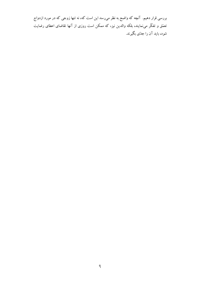بررسی قرار دهیم. آنچه که واضح به نظر میرسد این است که، نه تنها زوجی که در مورد ازدواج تعمُّق و تفكُّر مىنمايند، بلكه والدين نيز، كه ممكن است روزى از آنها تقاضاى اعطاى رضايت شود، باید آن را جدّی بگیرند.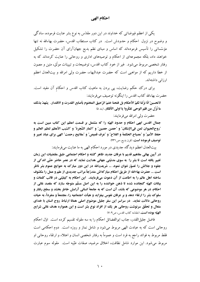احكام الهي

یکمی از اعظم فیوضاتی که خداوند در این دور مقدّس به نوع بشر عنایت فرموده، سادگی و وضوح در نزول احکام و حدودش است. در کتاب مستطاب اقدس، حضرت بهاءالله نه تنها مؤسّساتی را تأسیس فرمودهاند که اساس و مبنای نظم بدیع جهانآرای آن حضرت را تشکیل خواهند داد، بلکه مجموعهای از احکام و توصیههای اداری و روحانی را عنایت کردهاند که به رفتار شخصی مربوط میشود. غیر از خود کتاب اقدس، توضیحات و تبیینات موثّق، متین و مصون از خطا داریم که از مواهبی است که حضرت عبدالبهاء، حضرت ولی امرالله و بیتالعدل اعظم ارزانی داشتهاند.

برای درک حکم رضایت، پی بردن به ماهیت کتاب اقدس و احکام آن مفید است. حضرت بهاءالله كتاب اقدس را اينگونه توصيف مي فرمايند:

لاتحسبنّ انّا نزّلنا لكمُ الأحكام بل فتحنا ختمَ الرّحيق المختوم بأصابع القدرت و الاقتدار. ۚ يشهدُ بذلك ما نُزّل من قلم الوحي تفكّروا يا اولى الأفكار. (بند ۵)

حضرت ولي امرالله مي فرمايند:

جمال اقدس ابهى احكام و حدود الهيّه را كه مشتمل بر قسمت اعظم اين كتاب مبين است به ّ روح الحيوان لمن في الإمكان ّ و "حصن حصين ّ و "اثمار الشّجرة" و "السّبب الأعظم لنظم العالم و حفظ الأمم" و "مصباح الحكمة و الفلاح" و "عرف قميص" و "مفاتيح رحمت" الهي براي عباد تعبير و توصيف فرموده است. (قرن بديع، ص ۴۳۱)

بیتالعدل اعظم دیدگاه جدیدی در مورد احکام الهی به ما عنایت میفرمایند:

در آیین بهائی مفاهیم قدیم با عرفان جدید ظاهر گشته و احکام اجتماعی طبق مقتضیات این زمان تغییر یافته است تا بشر را به سوی مدنیّتی جهانی هدایت نماید که در عصر حاضر حتّی اندکی از جلوه و جلالش را تصوّر نتوان نمود. ... شریعتالله در این دور مبارک به حوایج عموم بشر ناظر است ... حضرت بهاءالله از طريق احكام مباركهاش متدرّجاً مراتب جديدى از علم و عمل را مكشوف ساخته اهل عالم را به اطاعت از آن دعوت میفر مایند. این احکام به کیفیّتی در قالب کلمات و بیانات الهیّه گنجانده شده تا ذهن خواننده را به این اصل مسلّم متوجّه سازد که مقصد غائی از احکام، در هر موضوعی که باشد، آن است که به جامعهٔ انسانی آرامش خاطر بخشد و سطح رفتار و سلوک بشر را ارتقاء دهد و بر عرفان نفوس بیفزاید و هیأت اجتماعیه را، مجتمعاً و منفرداً، به حیات روحانی دلالت نماید. در سراسر این سفر جلیل موضوع اصلی همانا ارتباط روح انسان با خدای متعال و تحقَّق سرنوشت روحانی هر یک از افراد نوع بشر است و این همواره هدف غائی شرایع الهيّه بوده است. (مقدّمه كتاب اقدس، ص٩-٧)

فاضل جلیل|لقدر، جناب ابوالفضائل احکام را به سه مقوله تقسیم کرده است. اوّل احکام روحانی است که به عبادت الهی مربوط میشود و شامل نماز و روزه است. دوم احکامی است فقط مربوط به فوائد راجع به فرد است و عموماً به رفتار شخصی انسان و اعتلاء و ارتقاء روحانی او مربوط می شود. این موارد شامل نظافت، اخلاق مرضیه، صفات طیّبه است. مقوله سوم عبارت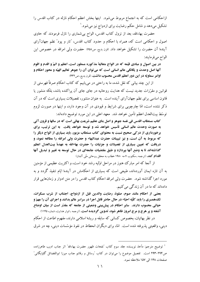ازاحکامی است که به اجتماع مربوط میشود. اینها بخش اعظم احکام نازله در کتاب اقدس را تشکیل میدهد و شامل حکم رضایت برای ازدواج نیز میشود. ٰ

حضرت بهاءالله، بعد از نزول كتاب اقدس، الواح بى شمارى را نازل فرمودند كه حاوى اصول و احکامی است که، همراه با احکام و حدود کتاب اقدس، "تار و پود" نظم جهانآرای آیندهٔ آن حضرت را تشکیل خواهد داد. (قرن بدیع، ص۶۵۸) حضرت ولی امرالله در خصوص این الواح ميفرمايند:

در بین اصول و مبادی قیّمه که در الواح متعالیهٔ مذکوره مسطور است، اعظم و اتمّ و اقدم و اقوم آنها اصل وحدت و یگانگی عالم انسانی است که میتوان آن را جوهر تعالیم الهیّه و محور احکام و اوامر سماويّه در اين دور اعظم اقدس محسوب داشت. (قرن بديع، ص432)

از این چند بیانی که نقل شده، ما به راحتی در می پابیم که کتاب احکام صرفاً فهرستی از قوانین و مقرّرات جدید نیست که هدایت روحانیه در جای جای آن پراکنده باشد، بلکه منشور یا قانون اساسی برای نظم جهانآرای آینده است. به عنوان منشور، تفصیلات بسیاری است که در آن ذکر نشده است، امّا چارچوبی برای شرایط و قیودی در آن وجود دارد، و اینها در صورت لزوم توسّط بيتالعدل اعظم تأمين خواهد شد. معهد اعلى در اين مورد توضيح دادهاند:

کتاب مستطاب اقدس فی نفسه جوهر و اصل بنای عظیم شریعت بهائی است که در سالها و قرون آتی به صورت وحدت عالم انسانی تأسیس خواهد شد و توسعه خواهد یافت. به این ترتیب، برای برخورداری از در کی صحیح نسبت به محتوای کتاب مستطاب مزبور، باید بسیاری از الواح دیگر را كه مربوط به آن است، و نيز تبيينات حضرت عبدالبهاء و حضرت ولي امرالله را مطالعه نمود، و دریافت که تعیین بسیاری از تفصیلات و جزئیات را حضرت بهاءالله به عهدهٔ بیتالعدل اعظم گذاشتهاند تا به وضع آنها بیردازد و طبق مقتضیات جامعهای در حال توسعه به تغییر و تبدیل آنها **اقدام کند.** (ترجمه ـ مکتوب ۷ مه ۱۹۸۰ خطاب به محفل روحانی ملّی آلمان)

از آنجا که امر مبارک هنوز در مراحل اوّلیه رشد خود است، و اکثریت عظیمی از مؤمنین به آن تازه ایمان آوردهاند، طبیعی است که بسیاری از احکامش در آیندهٔ ایّام تنفیذ گردد و به مورد اجرا گذاشته شود. حضرت ولی امرالله احکام کتاب اقدس را در متن ادوار و زمانهایی قرار دادهاند که ما در آن زندگی میکنیم.

بعضي از احكام مانند صوم، صلوة، رضايت والدين قبل از ازدواج، اجتناب از شرب مسكرات، تک@هسری را باید کلّیّه احبّاء در حال حاضر قابل اجرا در سراسر عالم بدانند و اجرای آن را مهمّ و حیاتی محسوب دارند. سایر احکام در پیش بینی وضعیتی از جامعه که مقدّر است از میان اوضاع آشفته و پر هرج و مرج امروز ظاهر شود، تدوین گردیده است. (ترجمه ـانوار هدایت، شماره ۱۱۴۵)

در نظر بهائیان، بخصوص کسانی که سابقه و ریشهٔ اسلامی دارند، مفهوم اطاعت از احکام دینی، واقعیتی پذیرفته شده است. امّا، برای دیگران انحطاط در نفوذ مؤسّسات دینی، چه در شرق

<sup>&</sup>lt;sup>1</sup> توضيح مترجم: مأخذ نويسنده جلد سوم كتاب "نفحات ظهور حضرت بهاءالله" اثر جناب اديب طاهرزاده، ص۲۹۴-۲۹۳ است. تفصیل موضوع را می توان در کتاب "رسائل و رقائم جناب میرزا ابوالفضائل گلیایگانی" صفحات ١٤٨ الى ١۵٧ ملاحظه نمود.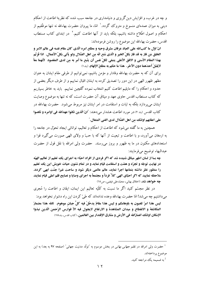و چه در غرب، و افزایش دین گریزی و دنیامداری در جامعه سبب شده که نظریهٔ اطاعت از احکام دینی به میزان عمدهای منسوخ و متروک گردد.` امّا، ما پیروان حضرت بهاءالله نه تنها موظّفیم از احکام و اصول اطِّلاع داشته باشیم، بلکه باید از آنها اطاعت کنیم.<sup>۲</sup> در ابتدای کتاب مستطاب اقدس، حضرت بهاءالله این موضوع را روشن فرمودهاند:

انّ اوّل ما كتبالله على العباد عرفان مشرق وحيه و مطلع امره الّذي كان مقام نفسه في عالم الامر و الخلق مَن فاز به قد فاز بكلّ الخير و الّذي مُنع انّه من اهل الصّلال ولو يأتي بكلّ الأعمال. اذا فُزتُم بهذا المقام الأسنى و الافق الأعلى ينبغي لكلِّ نفس أن يتَّبع ما اُمرٍ به من لدى المقصود ۖ لأنهما معاً لايُقبَلُ أحدَهما دون الآخَر. هذا ما حكم به مطلعُ الإلهام. (بند١)

برای آن که به حضرت بهاءالله وفادار و مؤمن باشیم، نمیتوانیم از طرفی مقام ایشان به عنوان مظهر ظهور الهی در این دور را تصدیق کرده به ایشان اقبال نماییم و از طرف دیگر بعضی از حدود و احکام را که مایلیم اطاعت کنیم انتخاب نموده گلچین نماییم. باید به خاطر بسپاریم که کتاب مستطاب اقدس حاوی عهد و میثاق آن حضرت است، که نه تنها به موضوع وصایت ایشان می,پردازد بلکه به ثبات و استقامت در امر ایشان نیز مربوط می,شود. حضرت بهاءالله در كتاب اقدس (بند ٢) در مو رد اطاعت هشدار مي دهند: "انّ الّذين نكثوا عهدالله في اوامره و نكصوا على اعقابهم اولئك من اهل الضّلال لدى الغني المتعال. ؒ

همچنین به ما گفته میشود که اطاعت از احکام و تعالیم، توانائی ایجاد تحوّل در جامعه را به ارمغان میآورد، و با اطاعت و تبعیت از آنها که با حبّ و ولای الهی صورت می گیرد قوا و استعدادهای مکنون در ما به ظهور و بروز می رسند. حضرت ولی امرالله با نقل قول از حضرت عبدالبهاء توضيح مي فرمايند:

چه بسا از لسان اطهر میثاق شنیده شد که اگر فردی از افراد احبّاء به اجرای یک تعلیم از تعالیم الهیّه در نهایت توجّه و تجرّد و همّت و استقامت قیام نماید و در تمام شئون حیات خویش این یک تعلیم را منظور نظر داشته بتمامها اجرا نماید، عالم عالمی دیگر شود و ساحت غبرا جنّت ابهی گردد. ملاحظه نمایید که اگر احبّای الهی کلاّ فرداً و مجتمعاً به اجرای وصایا و نصایح قلم اعلی قیام نمایند چه خواهد شد. (اخلاق بهائي، محمّدعلي فيضي، ص١٨)

در نظر مجسّم کنید اگر ما نسبت به کلّیّه تعالیم این ایمان، ایقان و اطاعت را مُجری مي داشتيم چه مي شد! امّا حضرت بهاءالله وعده ندادهاند كه طيّ كردن اين راه دشوار نخواهد بود: ليس هذا امرٌ تلعبون به باوهامكم و ليس هذا مقامٌ يدخُلُ فيه كلُّ جبان موهوم. تالله هذا مضمارُ المكاشفة و الانقطاع و ميدان المشاهدة و الارتفاع لايجول فيه الاّ فوارس الرّحمن الّذين نبذوا الإمكان اولئك انصارُالله في الأرض و مشارق الإقتدار بين العالمين. (كتاب اقدس، بند١٧٨)

<sup>1</sup> حضرت ولی امرالله در *نظم جهانی بهائی* در بخش موسوم به ″تولُّد مدنیت جهانی″ (صفحه ۹۷ به بعد) به این موضوع يرداختهاند. به ضمیمه یک مراجعه کنید.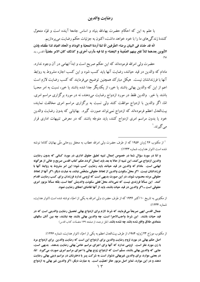با علم به این که احکام حضرت بهاءالله بنیاد و اساس جامعهٔ آینده است و قوّه متحوّل کنندهٔ زندگی های ما را با خود خواهد داشت، اکنون به جزئیات حکم رضایت می پردازیم.

انّه قد حُدّد في البيان برضاء الطّرفين انّا لمّا أردنا المحبّة و الوداد و اتّحاد العباد لذا علّقناه بإذن الأبوين بعدهما لئلاّ تقع بينهم الضِّغينة و البغضاء و لنا فيه مآرب اُخرى و كذلك كان الامر مقضيّاً (اقدس، بند  $(10$ 

حضرت ولی امرالله فرمودهاند که این حکم صریح است و ابداً ابهامی در آن وجود ندارد. مادام که والدین در قید حیاتند، رضایت آنها باید کسب شود و این کسب اجازه مشروط به روابط آنها با فرزندانشان نیست. هیکل مبارک همچنین توضیح میفرمایند که کسب رضایت لازم است اعم از این که والدین بهائی باشند یا خیر، از یکدیگر جدا شده باشند یا خیر، نسبت به امر محتّ باشند یا خیر. والدین فقط در مورد ازدواج رضایت میدهند، نه در مورد برگزاری مراسم امری. امّا، اگر والدین با ازدواج موافقت کنند ولی نسبت به برگزاری مراسم امری مخالفت نمایند، بیتالعدل اعظم فرمودهاند که ازدواج نمیتواند صورت گیرد. بهائیانی که بدون رضایت والدین خود یا بدون مراسم امری ازدواج کنند، باید متوجّه باشند که در معرض تنبیهات اداری قرار مے گے ند. ٰ

<sup>1</sup> از مكتوب ۲۶ ژوئن ۱۹۵۶ كه از طرف حضرت ولي امرالله خطاب به محفل روحاني ملّي بهائيان كانادا نوشته شده است (انوار هدایت، شماره ۱۲۴۳):

و امّا در مورد سؤال شما در خصوص اعمال تنبیه تعلیق حقوق اداری در مورد کسانی که بدون رضایت والدين ازدواج مي كنند، اين تنبيه از حالا به بعد بايد اعمال گردد.حكم كتاب اقدس صريح و خالي از هرگونه ابهامی است. مادام که والدین در قید حیاتند باید رضایت کسب شود؛ این امر مشروط به روابط آنها با فرزندانشان نیست. اگر محلّ سکونت والدین از لحاظ حقوقی مشخّص نباشد، به عبارت دیگر، اگر آنها از لحاظ حقوقی مرده محسوب شوند، در این صورت بدیهی است که لزومی ندارد فرزندان برای کسب رضایت اقدام كنند. ∫ين مسألة فرزندي نيست كه نميداند محلّ فعلى سكونت والدينش كجا است، بلكه مسألة مزبور امري حقوقی است ـ اگر والدین در قید حیات باشند، باید از آنها تقاضای اعطای رضایت نمود.

از مکتوبی به تاریخ ۱۱۰کتبر ۱۹۳۶ که از طرف حضرت ولی امرالله به یکی از احبّاء نوشته شده است (انوار هدایت، شماره ۱۲۳۴):

جمال اقدس ابهی صریحاً میفرمایند که شرط لازم برای ازدواج بهائی تحصیل رضایت والدینی است که در قید حیات باشند. آین شرط واجبالاجرا است، چه والدین بهائی باشند چه نباشند، چه بین آنان سالهای **متمادي طلاق واقع شده باشد چه نشده باشد.** (نقل ترجمه، از صفحه ۱۶۹ منضمّات كتاب اقدس)

از مکتوب مورّخ ۲۳ ژوئیه ۱۹۸۴، از طرف بیتالعدل اعظم به یکی از احبّاء (انوار هدایت، شماره ۱۲۴۶):

اصل حکم بهائی در مورد لزوم رضایت والدین برای ازدواج این است که رضایت والدین ۖ برای ازدواج مرد با زن مورد نظر است. لزومی ندارد که آنها برای اجرای مراسم خاصّ بهائی رضایت بدهند. بدیهی است، جایی که والدین بهائی باشند، مسلّم است که ازدواج زوج بهائی با اجرای مراسم امری صورت می گیرد. آمّا، در بعضی موارد، برای والدین غیربهائی دشوار است به شرکت پسر یا دخترشان در مراسم دینی بهائی رضایت دهند و در این موارد، تمایز اصل مزبور حائز اهمّیّت است. به عبارت دیگر، اگر والدین غیر بهائی به ازدواج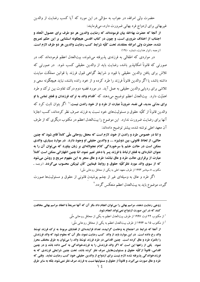حضرت ولي امرالله، در جواب به سؤالي در اين مورد كه آيا كسب رضايت از والدين غیربهائی برای ازدواج فرد بهائی ضرورت دارد، می فرمایند:

از آنجا که حضرت بهاءالله بیان فرمودهاند که رضایت والدین هر دو طرف برای حصول اتّحاد و اجتناب از اختلاف ضروری است، و چون در کتاب اقدس هیچگونه استثنایی بر این حکم تصریح نشده، حضرت ولي امرالله معتقدند تحت كلّيّه شرايط كسب رضايت والدين هر دو طرف لازم است. (ترجمه ـ انوار هدايت، شماره ١٢٤٠)

در مواردی که اطفالی به فرزندی پذیرفته می شوند، بیتالعدل اعظم فرمودهاند که، در صورتی که قانوناً امکانیذیر باشد، رضایت باید از والدین حقیقی کسب شود. در صورتی که تلاش برای یافتن والدین حقیقی با قیود و شرایط گواهی قبول فرزند یا قوانین مملکت مباینت داشته باشد، یا اگر والدین قانوناً فرزند را طرد کرده و از خود رانده باشند، نباید هیچگونه سعی و تلاشی برای ردیابی والدین حقیقی به عمل آید. در مورد قضیه دوم درک تفاوت بین ترک و طرد اهمّيّت دارد. بيتالعدل اعظم توضيح مىدهند كه "اقدام والد به ترك فرزندان و قطع تماس با او برای مدّتی مدید، فی نفسه، ضرورةً عبارت از طرد و از خود راندن نیست." اگر بتوان ثابت کرد که والدین قانوناً از کلّیّه حقوق و مسئولیتهای خود نسبت به فرزند صرف نظر کردهاند، کسب اجازهٔ آنها برای رضایت ضرورت ندارد. این موضوع را بیتالعدل اعظم در مکتوب دیگری که از طرف آن معهد اعلى نوشته شده، بيشتر توضيح دادهاند:

و امّا در خصوص طرد و راندن از خود، لازم است که محفل روحانی ملّی کاملاً قانع شود که چنین حالتي، از لحاظ قانوني، بين دوشيزه .... و والدين حقيقي او وجود دارد. ً در موارد بسياري، والدي ممکن است در حالت خشم یا سرخوردگی کلام عجولانهای بر زبان بیاورد که می توان آن را به عنوان اشارهای به قطع ارتباط با فرزند پسر یا دختر تعبیر نمود، امّا چنین اظهاراتی ممکن است کاملاً عبارت از برقراری حالت طرد و عاق نباشد؛ طرد و عاق منجر به این مفهوم صریح و روشن میشود که از سوی والد مورد نظر کلّیّه حقوق و روابط فیمابین کأن لم2کن محسوب میگردد. (ترجمه ـ مکتوب ٥ سپتامبر ١٩٩٣ از طرف معهد اعلی به یکی از محافل روحانی ملّی)

اگر طرد و عاق به وسیلهای غیر از چشم پوشیدن قانونی از حقوق و مسئولیتها صورت گیرد، موضوع باید به بیتالعدل اعظم منعکس گردد.<sup>۲</sup>

زوجی رضایت دهند، مراسم بهائی را میتوان انجام داد مگر آن که آنها صریحاً با انعقاد مراسم بهائی مخالفت کنند که در این صورت ازدواج نمی تواند انجام شود.

<sup>1</sup> از مکتوب ۲۲ اوت ۱۹۹۷ از طرف بیتالعدل اعظم به یکی از محافل روحانی ملّی

از مکتوب ۱۵ مه ۱۹۹۴ از طرف بیتالعدل اعظم به یکی از محافل روحانی ملّی:  $^2$ 

از آنجا که شرایط در اجتماع به وخامت گراییده، تعداد فزایندهای از قضایای مربوط به ترک فرزند توسّط والد رخ داده است. در این موارد باید از والد کسب رضایت نمود، مگر آن که معلوم شود که والد فرزندش را بالمرّه طرد و عاق کرده است. چنین اقدامی در طرد فرزند توسّط والد را می توان به طرق مختلف محرز نمود. یکی از راهها این است که اگر والد فرزندش را به فرزندخواندگی به کسی داده باشد و در چنین اقدامی، قانوناً از کلّیّه حقوق و مسئولیتهایش صرف نظر کرده باشد، تحت چنین شرایطی فرزندی که به فرزندخواندگی پذیرفته شده لازم نیست برای ازدواج از والدین حقیقی خود کسب رضایت نماید. وقتی که طرد و عاق صورت میگیرد، و قانوناً از حقوق و مسئولیتها نسبت به فرزند صرف نظر نمیشود، بلکه به سایر طرق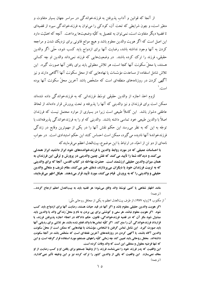از آنجا که قوانین و آداب پذیرفتن به فرزندخواندگی در سراسر جهان بسیار متفاوت و متغیّر است، و چون شرایطی که تحت آن، کودکی را میتوان به فرزندخواندگی سپرد از قضیهای تا قضیهٔ دیگر متفاوت است، نمی توان به تفصیل به کلّیّه وضعیتها پرداخت. آنچه که اهمّیّت دارد این اصل است که اگر هویت والدین معلوم باشد و هیچ موانع قانونی برای نزدیک شدن و مراجعه کردن به آنها وجود نداشته باشد، رضایت آنها برای ازدواج باید کسب شود، حتّی اگر والدین حقیقی، فرزند را ترک کرده باشند. در وضعیتهایی که فرزند نمیداند والدین او چه کسانی هستند، یا محلّ سکونت آنها کجا است، هر تلاش معقولی باید برای یافتن آنها صورت گیرد. این تلاش شامل استفاده از مساعدت مؤسّسات یا نهادهایی که از محل سکونت آنها آگاهی دارند و نیز آگهی کردن در روزنامههای منطقهای است که مشخّص باشد آخرین محلّ سکونت آنها بوده است.'

لزوم اخذ اجازه از والدین حقیقی توسّط فرزندانی که به فرزندخواندگی داده شدهاند ممكن است براي فرزندان و نيز والديني كه آنها را يذيرفته و تحت يرورش قرار دادهاند از لحاظ عاطفی دشوار باشد. این کاملاً طبیعی است زیرا در بسیاری از موارد محتمل نیست که فرزندان اصلاً با والدين طبيعي خود تماسي داشته باشند. والديني كه او را به فرزندخواندگي يذيرفتهاند، با توجّه به این که به نظر میرسد این حکم نقش آنها را در یکی از مهمترین وقایع در زندگی فرزندخواندهٔ آنها نادیده میگیرد، ممکن است احساس کنند این حکم استبدادی است. در جواب نامهای از دو تن از احبّاء در ارتباط با این موضوع، بیتالعدل اعظم میفرمایندکه

با احساسات عمیقی که در مورد روابط والدین با فرزندخواندههای خود ابراز داشتید ابراز همدلی می کنند و دیدگاه شما را تأیید می کنند که نقش چنین والدینی در پرورش و ترقّی این فرزندان به همان میزان والدین حقیقی ارزشمند است. حضرت بهاءالله در کتاب اقدس، آنجا که برای والدینی که به تربیت فرزندان خود یا دیگران میپردازند، دعای خیر میکنند، مقام شریف و متعالی والدین حقیقی و والدینی را که به پرورش قیام میکنند، مورد تأیید قرار میدهند. هیکل اطهر میفرمایند،

مانند اظهار شفاهی یا کتبی توسّط والد واقع میشود؛ هر قضیه باید به بیتالعدل اعظم ارجاع گردد... (توجمه)

<sup>1</sup> از مکتوب ۴ ژوئیه ۱۹۷۷، از طرف بیتالعدل اعظم به یکی از محافل روحانی ملّی:

اگر هویت والدین حقیقی معلوم باشد و اگر آنها در قید حیات هستند، رضایت آنها برای ازدواج باید کسب شود. آگر هویت معلوم نباشد، هر سعی و کوششی برای پی بردن به نام و محلّ زندگی والد یا والدین باید مبذول شود مگر آن که در قضیه فرزندخواندگی، قانون، حکم دادگاه در اعطاء اجازه پذیرفتن فرزند، یا قرارداد فرزندخواندگي آن را منع كند. اگر كلّيّه تماسها با والد قطع شده باشد، هر تلاشي براي رديابي آنها باید صورت گیرد. این شامل تماس گرفتن با اشخاص، مؤسّسات یا نهادهایی که ممکن است از محلّ سکونت والدین آگاه باشند، یا آگهی کردن در روزنامههای آخرین نقطهای است که مشخّص باشد در آنجا سکونت داشتهاند. محفل روحاني بايد تعيين كند چه زماني كلّيّه راههاي جستجو مورد استفاده قرار گرفته است، و اين كه تنها فرضيه معقول و منطقي اين است كه والد وفات كرده است.

این واقعیت که پدر فرزند خود را نمیشناسد فرزند را از وظیفهٔ جستجو برای یافتن او و کسب رضایت از او معاف نمیسازد. آین واقعیت که یکی از والدین کشور را ترک کرده نیز بر این وظیفه تأثیر نمی گذارد. (ترجمه)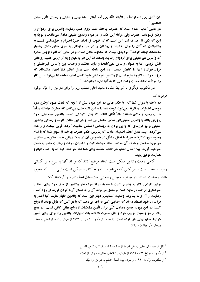"انّ الّذي ربّي ابنه او ابناً من الأبناء كأنّه ربّي أحدَ أبنائي؛ عليه بهائي و عنايتي و رحمتي الّتي سبقت العالمين."

در همین کتاب احکام است که حضرت بهاءالله حکم لزوم کسب رضایت والدین برای ازدواج را وضع فرمودند. حضرت ولي امرالله اين حكم را در مورد والدين طبيعي صادق ميدانند، با توجّه به این که یکی از اهداف آن این است که"در قلوب فرزندان حسّ احترام و حقشناسی نسبت به والدینشان که آنان را جان بخشیده و روانشان را در سپر جاودانی به سوی خالق متعال رهسیار ساختهاند ایجاد گردد." آ تردیدی نیست که خداوند عادل است، و در حالی که قانوناً لزومی ندارد كه والدين غيرحقيقي براي ازدواج رضايت بدهند امّا اين امر به هيچ وجه از ارزش عظيم روحاني نقش تربیتی آنها به عنوان والدین نمی کاهد؛ و نباید محبّت و وحدت بین والدین غیرحقیقی و فرزندخواندهٔ آنها را کاهش دهد. در این رابطه، بیتالعدل اعظم قبلاً اظهار داشتهاند که فرزندخوانده، اگرچه ملزم نیست از والدین غیرحقیقی خود کسب اجازه نماید، امّا می تواند این کار را صرفاً به لحاظ محبّت و احترامي كه به آنها دارد انجام دهد. آ

در مکتوب دیگری با شرایط مشابه، معهد اعلی مطلب زیر را برای دو تن از احبّاء مرقوم فر مو دەاند:

در رابطه با سؤال شما که آیا حکم بهائی در این مورد بیش از آنچه که باعث بهبود اوضاع شود موجب اضطراب و تفرقه نمي شود، توجّه شما را به اين نكته جلب مي كنيم كه حضرت بهاءالله مسلَّماً طبيب رحيم و حكيم هستند؛ غالباً اتّفاق افتاده كه وقتى كودكى توسّط والدين غيرحقيقى خود پرورش یافته با والدین حقیقی ش تماس حاصل می کند و در این حالت قلوب و زندگی والدین حقیقی و نیز فرزندی که با پی بردن به ریشهاش احساس تمامیت کرده، قرین بهجت و راحت می گردد. بیتالعدل اعظم اطمینان دارند که پذیرش حکم حضرت بهاءالله از سوی شما که با تمام وجود صورت گرفته، همراه با تعمّق و تبتّل در خصوص آن در مدّت زمانی مدید، بینشهای بیشتری در مورد حکمت و هدف آن به شما اعطاء خواهد کرد، و اطمینان مجدّد و رضایت خاطر به دست خواهید آورد. پیتالعدل اعظم در اعتاب مقدّسه برای شما دعا خواهند کرد که به کسب الهام و هدايت توفيق ياييد. ً

گاهی اوقات والدین ممکن است اتّخاذ موضع کنند که فرزند آنها به بلوغ و بزرگسالی رسید و مختار است با هر کس که میخواهد ازدواج کند، و ممکن است دلیلی نبینند که مجبور باشند رضايت بدهند. در جواب به چنین وضعیتی، بیتالعدل اعظم تصمیم گرفتهاند که:

چنین نگرشی، اگر به وضوح تثبیت شود، به منزلهٔ صرف نظر والدین از حق خود برای اعطا یا خودداری از اعطاء رضایت است و محفل می تواند آن را به عنوان آزاد کردن فرزند از لزوم کسب رضايت از آن والد بيذيرد. وضعيت امكانيذير ديگر اين است كه والدين اظهار نمايند آنها آنقدر به فرزندان خود اعتماد دارند که رضایتی کلّی به آنها میدهند که با هر کس که مایل بودند ازدواج کنند؛ در این مورد، چنین رضایت کلّی برای تأمین مقتضیات ازدواج بهائی کافی است. در هیچ یک از دو وضعیت مزبور، طرد و عاق صورت نگرفته، بلکه اظهارات والدین راه برای برای تأمین **شوایط حکم بهائی باز کوده است.** (ترجمه ـ از مکتوب ۵ سپتامبر ۱۹۹۳ از طرف بیتالعدل اعظم به محفل روحاني ملّى بهائيان استراليا)

<sup>&</sup>lt;sup>1</sup> نقل ترجمه بیان حضرت ول<sub>ی</sub> امرالله از صفحه ۱۶۹ منضمّات کتاب اقدس <sup>2</sup> از مکتوب مورّخ ۲۲ مه ۱۹۸۹ از طرف بیتالعدل اعظم به دو تن از احبّاء <sup>3</sup> از مكتوب اوّل مه ١٩٩٠، از طرف بيتالعدل اعظم به دو تن از احبّاء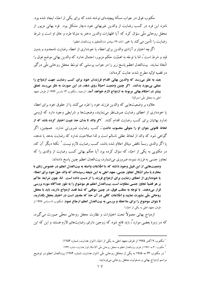مکتوب فوق در جواب مسألهٔ پیچیدهای نوشته شده که برای یکی از احبّاء ایجاد شده بود. نامزد این فرد در کسب رضایت از والدین غیربهائی خود دچار مشکل بود. ً فرد بهائی مزبور از محفل روحاني ملَّى سؤال كرد كه آيا اظهارات والدين دختر به منزلة طرد و عاق او است و شرط رضايت را تأمين مي كند يا خير. (نامه ٢٩ سپتامبر دارالتّحقيق به بيتالعدل اعظم)

اگرچه اختیار و آزادی والدین برای اعطاء یا خودداری از اعطاء رضایت نامحدود و بدون قید و شرط است ْ، امّا با توجّه به اهمّیّت حکم مزبور، احتمال ندارد که والدین بهائی موضع فوق را اتّخاذ نمایند. بیتالعدل اعظم پاسخ زیر را در جواب پرسشی که توسّط محفل روحانی ملّی درگیر در قضیه اوّلیه مطرح شده، عنایت کردهاند:

بعید به نظر میرسد که والدین بهائی اقدام فرزندان خود برای کسب رضایت جهت ازدواج را عملي بيمورد بدانند. اگر چنين وضعيت احياناً روي دهد، در اين صورت به نظر ميرسد تعمّق بیشتر در احکام بهائی مربوط به ازدواج لازم خواهد آمد. (ترجمه ـ مکتوب ۱۳ مارس ۱۹۹۴ از طرف معهد اعلے به محفل ملّی استرالیا)

علاوه بر وضعیتهایی که والدین فرزند خود را طرد می کنند یا از حقوق خود برای اعطاء یا خودداری از اعطای رضایت صرف نظر می نمایند، وضعیتها و شرایطی وجود دارد که لزومی .<br>ندارد بهائيان براي كسب رضايت اقدام كنند. **"اگر والد تا بدان حدّ غيبت اختيار كرده باشد كه از لحاظ قانونی بتوان او را متوفّی محسوب داشت**"، کسب رضایت ضرورتی ندارد. همچنین، اگر گواهی شود که والد از لحاظ عقلی ناسالم است و لذا صلاحیت ندارد که رضایت بدهد یا ندهد، یا اگر والدی رسماً ناقض میثاق اعلام شده باشد، کسب رضایت لازم نیست.' نکتهٔ دیگر آن که، در مکتوبی به یکی از احبّاء که سؤال کرده بود آیا حکم بهائی کسب رضایت از والدی را که تجاوز جنسی به فرزند نموده ضروری میشمارد، بیتالعدل اعظم چنین پاسخ دادهاند:

وضعیتهایی از این قبیل وجود داشته که، با اطّلاعات واصله به بیتالعدل اعظم در خصوص زنای با محارم یا سایر اَشکال تجاوز جنسی، معهد اعلی به این نتیجه رسیدهاند که والد حقّ خود برای اعطاء یا خودداری از اعطای رضایت برای ازدواج فرزند را از دست داده است. امّا، چون شرایط حاکم بر هر قضیهٔ تجاوز جنسی متفاوت است، بیتالعدل اعظم هر موضوع را به طور جداگانه مورد بررسی قرار میدهند. با توجّه به مطلب فوق، در چنین موقعی که شما قصد ازدواج دارید، باید با محفل روحانی ملّی مشورت نمایید و اطّلاعات کافی در آن حدّ که مقدور است در اختیار محفل بگذارید، **تا بتوان موضوع را برای ملاحظه و بررسی به بیتالعدل اعظم ارجاع نمود.** (مکتوب ۸ دسامبر ۱۹۹۷ از طرف معهد اعلی به یکی از احتّاء)

ازدواج بھائی معمولاً تحت اختیارات و نظارت محفل روحانی محلّی صورت می گیرد، که در زمرهٔ بعضی موارد ّ، باید قانع شود که زوجین دارای رضایتهای لازم هستند و این که این

<sup>&</sup>lt;sup>1</sup> مكتوب ٩ اكتبر ١٩٧۵ از طرف معهد اعلى به يكي از احتّاء (انوار هدايت، شماره ١٢٥۴)

<sup>&</sup>lt;sup>2</sup> مکتوب ۳۰ مه ۱۹۷۱ از طرف بیتالعدل اعظم به محفل روحانی ملّی آلاسکا، انوار هدایت، شماره ۱۲۴۴

<sup>&</sup>lt;sup>3</sup> در مکتوب ۲۳ مه ۱۹۸۵ به یکی از محافل روحانی ملّی (انوار هدایت، شماره ۱۲۸۴) بیتالعدل اعظم در توضیح مراسم ازدواج بهائي و مسئوليت محفل روحاني مي فرمايند: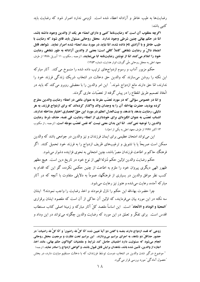رضایتها به طیب خاطر و آزادانه اعطاء شده است. لزومی ندارد اصرار شود که رضایت باید كتبي باشد:

اگرچه مطلوب آن است که رضایتنامهٔ کتبی و دارای امضاء هر یک از والدین وجود داشته باشد، امّا در حکم بهائی چنین شرطی وجود ندارد. ًمحفل روحانی مسئول باید قانع شود که رضایت با طیب خاطر و با آزادی تامّ داده شده، امّا نباید در مورد سند امضاء شده اصرار نماید. شواهد قابل اعتماد دالّ بر رضایت شفاهی کاملاً کافی است؛ بعضی از والدین آزادانه به طور شفاهی رضایت خود را اعلام می کنند امّا از نوشتن رضایتنامه ابا مینمایند. (ترجمه ـ مکتوب ۱۱ آوریل ۱۹۷۸ از طرف معهد اعلی به محفل روحانی ملّی گویان، انوار هدایت، شماره ۱۲۵۳)

حکم مزبور آداب و رسوم ازدواجهای ترتیب داده شده را منسوخ میکند. آثار مبارکه این نکته را روشن میسازند که والدین حق دخالت در انتخاب شریک زندگی فرزند خود را ندارند، امّا حق دارند مانع ازدواج شوند.` این امر والدین را با معضلی روبرو می کند که باید در اتّخاذ تصمیم طریق انقطاع را در پیش گرفته از تعصّبات عاری گردند.

و امّا در خصوص سؤالی که در مورد تعصّب مفرط به عنوان مانعی در اعطاء رضایت والدین مطرح کرده بودید، حضرت بهاءالله آن را به وجدان والد واگذار کردهاند که برای ازدواج فرزند، به هر دلیلی، رضایت بدهد یا ندهد، و بیتالعدل اعظم در مورد این حقّ انحصاری اختیار مداخله ندارند. انتساب تعصّب به عنوان انگیزهای برای خودداری از اعطاء رضایت، فی نفسه، حذف شرط رضایت والدين را توجيه نمي كند. امّا اين بدان معنى نيست كه نفس تعصّب موجّه است. (ترجمه ـ از مكتوب ۱۳ اکتبر ۱۹۹۷ از طرف معهد اعلی به یکی از احبّاء)

این می تواند امتحان عظیمی برای ایمان فرزندان و نیز والدین در جوامعی باشد که والدین ممکن است صریحاً یا با تشویق و ترغیبهای ظریف ازدواج را به فرزند خود تحمیل کنند. اگر فرهنگ ححاکم بر اطاعت فرزندان مصرّ باشد، چنین امتحانی به نحوی فزاینده دشوار میشود.

حکم رضایت والدین اوّلین حکم مُنزلهٔ الهی از نوع خود در تاریخ دین است. هیچ مظهر ظهور الهی دیگری پیروان خود را ملزم به اطاعت از چنین حکمی نکرده، گو این که اقدام به کسب نظر موافق والدین در بسیاری از فرهنگها، عموماً به دلایلی متفاوت با آنچه که در آثار مبارکه آمده، رعایت میشده و هنوز نیز رعایت میشود.

چرا حضرت بهاءالله این حکم را نازل فرمودند و اخذ رضایت را واجب نمودند؟ ایشان سه نکته در این مورد بیان می،فرمایند، که اوّلین آن حاکمی از آن است که مقصود ایشان برقراری **ًالمحبّة و الوداد و الاتّحاد ً** است. اين اساساً مقصد كلّ آثار مباركه و زمينهٔ اصلي كتاب مستطاب اقدس است. برای تفکّر و تعمّق در این مورد که رضایت والدین چگونه می تواند در این وداد و

زوجي كه قصد ازدواج دارند بنفسه با گفتن دو آيهُ تعيين شده "انّا كلٌّ لله راضون" و "انّا كلٌّ لله راضيات" در حضور حدّاقلّ دو شاهد، به اجرای مراسم می یردازند. این مراسم تحت نظارت و مرجعیت محفل روحانی انجام میشود که مسئولیت دارد اطمینان حاصل کند شرایط و مقتضیات گوناگون حکم بهائی، مانند اخذ اجازه از والدین، تأمین شده باشد، شاهدان برایش قابل قبول باشند، و گواهی ازدواج را صادر نماید. (ترجمه) <sup>1</sup> موضوع درگیر شدن والدین در انتخاب دوست توسّط فرزندان، که با دخالت مستقیم مباینت دارد، در بخش "حصول آمادگی" مورد بررسی قرار می گیرد.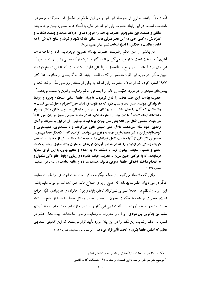اتَّحاد مؤثَّر باشد، خارج از حوصلهٔ این اثر و در این مقطع از تکامل امر مبارک، موضوعی نامتناسب است. در این رابطه حضرت ولی امرالله، در اشاره به اتّحاد عالم انسانی، چنین می فرمایند:

دقائق و عظمت این نظم بدیع حضرت بهاءالله را امروز احدی ادراک نتواند و وسعت امکانات و تصرّفاتش را کسی حتّی در این عصر مترقّی عالم انسانی عارف نشود و فوائد و نتائج آتیهاش را در نيابد و عظمت و جلالش را تصوّر ننمايد. (نظم جهاني بهائي، ص٤٨)

در بخشی از متن حکم رضایت، حضرت بهاءالله تصریح میفرمایند که، "و لنا فیه مآرب أخرى." ما سخت تحت فشار قرار مى گيريم تا در آثار منتشرهٔ مباركه مطلبى را بيابيم كه مستقيماً با این بیان مرتبط باشد. در واقع دارالتّحقیق بین|لمللی اظهار داشته است که تا این تاریخ نتوانسته تبیین موثَّقی در مورد این فقرهٔ مشخَّص از کتاب اقدس بیابد. امّا به گزیدهای از مکتوب ۲۵ اکتبر ۱۹۴۷ اشاره کرده که از طرف حضرت ولمی امرالله به یکی از محافل روحانی ملّی نوشته شده و بینشهای مفیدی را در مورد اهمّیّت روحانی و اجتماعی حکم رضایت والدین به دست میدهد. ۷

حضرت بهاءالله این حکم محکم را نازل فرمودند تا بنیان جامعهٔ انسانی استحکام پذیرد و روابط خانوادگی پیوندی بیشتر یابد و سبب شود که در قلوب فرزندان حسّ احترام و حقشناسی نسبت به والدینشان که آنان را جان بخشیده و روانشان را در سیر جاودانی به سوی خالق متعال رهسیار ساخته**اند ایجاد گردد.<sup>۲</sup> ما اهل بهاء باید متوجّه باشیم که در جامعهٔ عمومی امروز، جریان امور کاملاً** در جهت معكوس اتّفاق ميافتد؛ يعني نسل جوان يوماً فيوماً، توجّهي اقلّ از قبل به منويات و آمال والدین خود نشان میدهند، طلاق حقّی طبیعی تلقّی میگردد، و با سستترین، ضعیفترین و توجیهناپذیرترین و غیر منصفانهترین بهانه به وقوع میپیوندد. افرادی که از یکدیگر جدا میشوند، بخصوص اگر یکی از آنها حضانت کامل فرزندان را به عهده داشته باشد، بیش از حدّ مایلند اهمّیّت شریک زندگی در ازدواج را که در به دنیا آوردن فرزندان به عنوان والد مسئول بوده، به شدّت تحقیر و تضعیف نمایند. بهائیان باید، با تمسّک تامّ به احکام و تعالیم بهائی، با این قوای مخرّبهٔ فرساینده، که با حرکتی چنین سریع به تخریب حیات خانواده و زیبایی روابط خانوادگی مشغول و به انهدام ساختار اخلاقی جامعهٔ عمومی مألوف هستند، مبارزه و مقابله نمایند. (ترجمه ـ انوار هدایت، شماره ۱۲۳۵)

وقتی که ملاحظه می کنیم این حکم چگونه ممکن است بافت اجتماعی را تقویت نماید، تفکّر در مورد بیان حضرت بهاءالله که جمیع از برای اصلاح عالم خلق شدهاند، میتواند مفید باشد. این امر بدون نظم در جامعهٔ عمومی نمیتواند تحقّق یابد، وچون خانواده واحد بنیادی کلّیّه جوامع است، حضرت بهاءالله، با حكمت مصون از خطاي خود، وسائل حفظ مؤسَّسهٔ ازدواج و ارتقاء حیات عائله را فراهم آوردهاند. طلعت ابهی این کار را با توصیه ازدواج به ما انجام دادهاند **″بیظهر** منکم مَن پذکرنی بین عبادی،" و آن را مشروط به رضایت والدین ساختهاند. بیتالعدل اعظم در اشاره به حکم رضایت این نکته را در این بیان مورد تأیید قرار می،دهند که این **"قانونی است بس** عظیم که اساس جامعهٔ بشری را تحت تأثیر قرار میدهد." (ترجمه ـ انوار هدایت، شماره ۱۲۳۶)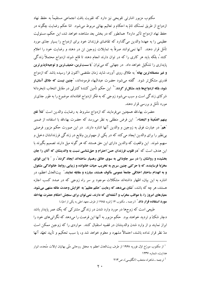مکتوب مزبور اشارتی تلویحی نیز دارد که تقویت بافت اجتماعی مستقیماً به حفظ نهاد ازدواج از طريق تمسّك تامّ به احكام و تعاليم بهائي مربوط مي شود. امّا حكم رضايت چگونه در حفظ نهاد ازدواج تأثیر دارد؟ همانطور که در بخش بعد مشاهده خواهد شد، این حکم، مسئولیت عظیمی را به عهدهٔ والدین میگذارد که تقاضای فرزندان خود برای ازدواج را بسیار جدّی مورد تأمّل قرار دهند. آنها نمي توانند صرفاً به تمايلات زوجين تن در دهند و رضايت خود را اعلام کنند'، بلکه باید هر کاری را که در توان دارند انجام دهند تا قانع شوند ازدواج محتملاً زندگی پایداری را تشکیل خواهد داد. در جهانی که میتوان <sup>"</sup>با سستترین، ضعیفترین و توجیهناپذیرترین **و غیر منصفانهترین بهانه** ٌ به طلاق روی آورد، شاید زمان مقتضی اکنون فرا رسیده باشد که ازدواج .<br>قدری مشکل تر شود. گفته می شود حضرت عبدالبهاء فرمودهاند، "چنین نیست که طلاق آسان تو شود، بلکه ازدواجها باید مشکل تر گردد. <sup>۲٬</sup> این حکم تأمین کنندهٔ کنترلی در مقابل انتخاب نابخر دانهٔ شرکای زندگی است و سبب میشود زوجی که به فکر ازدواج افتادهاند موضوع را به طور جدّیتر مورد تأمّل و بررسی قرار دهند.

حضرت بهاءالله همچنین میفرمایند که ازدواج مشروط به رضایت والدین است "لئلاّ تقع بينهم الضّغينة و البغضاء." اين فرض منطقى به نظر مى رسد كه حضرت بهاءالله با استفاده از ضمير <mark>ّهم ً</mark> در عبارت فوق به زوجین و والدین آنها اشاره دارند. در این صورت حکم مزبور فرصتی بی نظیر را برای والدین ایجاد می کند که در یکی از مهم ترین وقایع در زندگی فرزندانشان دخیل و سهیم شوند. این واقعیت که والدین دارای این حق هستند که هر گونه میل دارند تصمیم بگیرند با این هدف است که آ**در قلوب فرزندان حسّ احترام و حقشناسی نسبت به والدینشان که آنان را جان** بخشیده و روانشان را در سیر جاودانی به سوی خالق رهسپار ساختهاند ایجاد گردد ّ، و ″ با این قوای مخرّبهٔ فرساینده، که با حرکتی چنین سریع به تخریب حیات خانواده و زیبایی روابط خانوادگی مشغول و به انهدام ساختار اخلاقی جامعهٔ عمومی مألوف هستند، مبارزه و مقابله نمایند. " بیتالعدل اعظم، در اشاره به این بیان، اظهار داشتهاند مشکلات موجود بر سر راه زوجی که در صدد کسب اجازه .<br>هستند، هر چه که باشد، آ**نشان می دهد که رعایت "حکم عظیم" به افزایش وحدت عائله منته**ی می **شود**. **معیارهای امروز را، با عواقب مخرّب و آشفتهای که دارند، نمی توان برای سنجش احکام حضرت بهاءالله مورد استفاده قرار داد.**" (ترجمه ـ مكتوب ۱۴ ژانويه ۱۹۸۵ از طرف معهد اعلى به يكي از احبّاء)

طبیعی است که زوجها در مورد وارد شدن در زندگی مشترکی که یک عمر پایدار باشد دچار شکٌ و تردید خواهند بود. حکم مزبور به آنها این فرصت را میدهد که نگرانیهای خود را ابراز نمایند و از وارد شدن والدینشان در قضیه استقبال کنند. مواردی را که زوجین ممکن است مدّ نظر قرار نداده باشند، احتمالاً مشهود و معلوم خواهد شد و، یا سبب تحکیم و تأیید تعهّد آنها

تر جمه - شاهراه منتخب (انگلیسی)، ص ۲۱۳

<sup>&</sup>lt;sup>1</sup> از مکتوب مورّخ اوّل فوریه ۱۹۶۸ از طرف بیتالعدل اعظم به محفل روحانی ملّی بهائیان ایالات متّحده، انوار هدایت، شماره ۱۲۳۷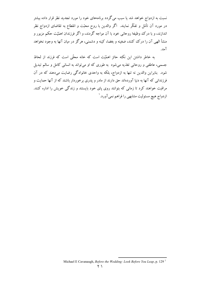نسبت به ازدواج خواهد شد یا سبب میگردد برنامههای خود را مورد تجدید نظر قرار داده بیشتر در مورد آن تأمّل و تفکّر نمایند. اگر والدین با روح محبّت و انقطاع به تقاضای ازدواج نظر اندازند، و با درک وظیفهٔ روحانی خود با آن مواجه گردند، و اگر فرزندان اهمّیّت حکم مزبور و منشأ الهي آن را درک کنند، ضغينه و بغضا، کينه و دشمنې، هرگز در ميان آنها به وجود نخواهد آمد.

به خاطر داشتن این نکته حائز اهمّیّت است که خانه محلّی است که فرزند از لحاظ جسمی، عاطفی و روحانی تغذیه میشود به طوری که او میتواند به انسانی کامل و سالم تبدیل شود. بنابراین والدین نه تنها به ازدواج، بلکه به واحدی خانوادگی رضایت میدهند که در آن فرزندانی که آنها به دنیا آوردهاند حق دارند از مادر و پدری برخوردار باشند که از آنها حمایت و مراقبت خواهند کرد تا زمانی که بتوانند روی یای خود بایستند و زندگی خویش را اداره کنند. ازدواج هيچ مسئوليت مشابهي را فراهم نمي آورد. `

Michael E Cavanaugh, Before the Wedding: Look Before You Leap, p. 129<sup>1</sup>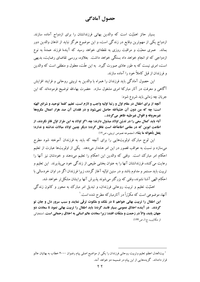## حصول آمادگی

بسیار حائز اهمّیّت است که والدین بهائی فرزندانشان را برای ازدواج آماده سازند. ازدواج یکی از مهمترین وقایع در زندگی است، و این موضوع هرگز نباید از اذهان والدین دور بماند. عمری محبّت و مراقبت روزی به نقطهای خواهد رسید که آیندهٔ فرزند عمدةً به نوع ازدواجی که او انجام خواهد داد بستگی خواهد داشت. بعلاوه، بررسی تقاضای رضایت، بدیهی است، امری نیست که به طور عادّی صورت گیرد. به این علّت، معقول و منطقی است که والدین و فرزندان از قبل کاملاً خود را آماده سازند.

این حصول آمادگی باید فرزندان را همراه با والدین به تربیتی روحانی و فرایند افزایش آگاهی و معرفت در آثار مبارکهٔ امری مشغول سازد. حضرت بهاءالله توضیح فرمودهاند که این جريان چه زماني بايد شروع شود:

آنچه از برای اطفال در مقام اوّل و رتبهٔ اوّلیه واجب و لازم است، تعلیم کلمهٔ توحید و شرائع الهیّه است؛ چه که من دون آن خشیةالله حاصل نمیشود و در فقدان آن صد هزار اعمال مکروههٔ غيرمعروفه و اقوال غيرطيّبه ظاهر مي گردد...

آباء بايد كمال سعى را در تديّن اولاد مبذول دارند؛ چه، اگر اولاد به اين طراز اوّل فائز نگردند، از اطاعت ابوین که در مقامی اطاعةالله است غافل گردد؛ دیگر چنین اولاد مبالات نداشته و ندارد؛ يفعل بأهوائه ما يشاء. (مجموعه نصوص تربيتي، ص١٢)

این لوح مبارک اولویتهایی را برای آنچه که باید به فرزندان آموخته شود مطرح میسازد و نسبت به عواقب قصور در این امر هشدار میدهد. یکی از اولویتها عبارت از تعلیم احکام امر مبارک است. وقتی که والدین این احکام را تعلیم میدهند و خودشان نیز آنها را رعايت مي كنند، فرزندانشان آنها را به عنوان بخشي طبيعي از زندگي خود مي پذيرند. اين تعليم و تربیت باید مستمر و مداوم باشد و در سنین اوّلیه آغاز گردد، زیرا فرزندان اگر در اوان خردسالی با احکام الھے ِ آشنا نشوند، وقتے که یز دگتر مے شوند پذیرش آنھا پرایشان مشکل تر خواہد شد.

اهمَّيّت تعليم و تربيت روحاني فرزندان، و تبديل امر مبارک به محور و کانون زندگي آنها، موضوعی است که مکرّراً در آثارمبارکه مطرح شده است. ٰ

این اطفال را تربیت بهائی خواهم تا در مُلک و ملکوت ترقّی نمایند و سبب سرور دل و جان تو گردند. ً در آینده اخلاق عمومی بسیار فاسد گردد؛ باید اطفال را تربیت بهائی نمود تا سعادت دو جهان يابند، والاّ در زحمت و مشقّات افتند؛ زيرا سعادت عالم انساني به اخلاق رحماني است. (منتخباتي از مکاتیب، ج۱، ص۱۲۴)

<sup>&</sup>lt;sup>1</sup> بیتالعدل اعظم تعلیم وتربیت روحانی فرزندان را یکی از مواضیع اصلی پیام رضوان ۲۰۰۰ خطاب به بهائیان عالم قرار دادهاند. گزیدههایی از این پیام در ضمیمه دو خواهد آمد.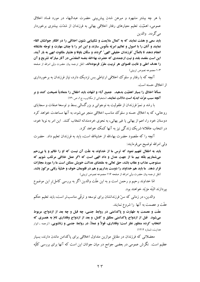با هر چه بیشتر مشهود و مبرهن شدن پیش بینی حضرت عبدالبهاء در مورد فساد اخلاق عمومی، اهمّیّت تعلیم معیارهای رفتار اخلاقی بهائی به فرزندان از شدّت بیشتری برخوردار مي گردد. والدين

باید سعی و همّت نمایند که به کمال ملایمت و شکیبایی شئون اخلاقی را در افکار جوانشان القاء نمایند و آنان را با اصول و تعالیم امریّه مأنوس سازند و این امر را با چنان مهارت و توجّه عاشقانه انجام دهند تا بالمآل "فرزندان حقیقی الهی" گردند و سکّان باوفا و هشیار ملکوت ابهی به بار آیند. این است مقصد بلند و نیت ارجمندی که حضرت بهاءالله بنفسه المقدّس در آثار مبارکه تشریح و آن **را هدف اعلی و غایت قصوای هر تربیت مقرّر فرمودهاند.** (نقل ترجمه بیان حضرت ولی امرالله از صفحه ۱۰۳ مجموعه نصوص تربیتی)

آنچه که با رفتار و سلوک اخلاقی ارتباطی بس نزدیک دارد، نیاز فرزندان به برخورداری از اخلاق حسنه است.

مسألهٔ اخلاق را بسیار اهمّیّت بدهید. جمیع آباء و امّهات باید اطفال را متمادیاً نصیحت کنند و بر آنچه سبب عزّت ابدیّه است دلالت نمایند. (منتخباتی از مکاتیب، ج١، ص١٣٠)

با رشد و نموٌ فرزندان از طفولیت به نوجوانبی و بزرگسالبی بسط و توسعهٔ صفات و سجایای روحانی، که به اخلاق حسنه و سلوک مناسب اخلاقی منجر میشود، به آنها مساعدت خواهد کرد دوستان خود را، اعم از بهائي يا غير بهائي، به نحوي خردمندانه انتخاب كنند. اين امر به نوبهٔ خود، در انتخاب عاقلانهٔ شریک زندگی نیز به آنها کمک خواهد کرد.

آنچه را که مقصود حضرت بهاءالله از خشیةالله است، باید به فرزندان تعلیم داد. حضرت ولي امرالله توضيح ميفرمايند:

باید به اطفال تفهیم نمود که ترس ما از خداوند به علّت آن نیست که او را ظالم و یا بی رحم می شماریم بلکه بیم ما از جهت عدل و داد الهی است که اگر عمل خلافی مرتکب شویم که مستوجب عذاب و عقاب باشد، حق تعالى به مقتضاي عدالت خويش ممكن است ما را مورد مجازات قرار دهد. ً ما باید هم خداوند را دوست بداریم و هم در قلوبمان خوف و خشیّة ربّانی مرکوز باشد. (نقل ترجمه بیان حضرت ولی امرالله از صفحه ۱۱۶ مجموعه نصوص تربیتی)

امّا خداوند رحیم و رحمن است و به این علّت والدین اگر به بررسی کامل تر این موضوع بير دازند البتّه مؤ يّد خو اهند بو د.

والدین، در زمانی که سنّ فرزندانشان برای توسعه و ترقّی مناسبتر است، باید تعلیم حکم عفّت و عصمت به آنها را شروع نمایند.

عفّت و عصمت به طهارت و پاکدامنی در روابط جنسی، چه قبل و چه بعد از ازدواج، مربوط میشود. قبل از ازدواج پاکدامنی مطلق و کامل، و بعد از ازدواج وفاداری تامّ به همسری که انتخاب کرده منظور نظر است؛ وفاداری، قولاً و عملاً، در روابط جنسی و زناشویی. (ترجمه ـ انوار هدایت، شماره ۱۲۱۲)

معضلاتی که فرزندان در مقابل موازین متداول اخلاقی برای پاکدامن ماندن دارند، بسیار عظیم است. نگرش عمومی در بعضی جوامع در میان جوانان این است که آنها برای بررسی کلّیّه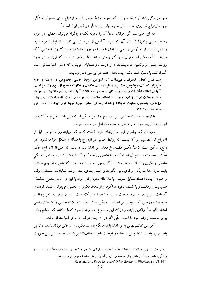وجوه زندگی باید آزاد باشند و این که تجربهٔ روابط جنسی قبل از ازدواج برای حصول آمادگی جهت ازدواج ضروري است. طبق تعاليم بهائي اين تفكّر غير قابل قبول است.'

در این صورت، اگر جوانان عملاً آن را تجربه نکنند، چگونه می توانند مطلبی در مورد روابط جنسی بیاموزند؟ اوّل آن که، برای آگاهی از امری لزومی ندارد که ابتدا تجربه شود. والدین باید بسیار به آرامی و نرمی فرزندان خود را در مورد جنبهٔ فیزیولوژیک رابطهٔ جنسی آگاه سازند. البتّه ممکن است برای آنها کار راحتی نباشد، امّا مرجّح آن است که فرزندان در مورد روابط جنسی از والدین خود بشنوند نه از دوستان و همتایان خویش، که دانش آنها ممکن است گمراه كنند يا بالمرّه غلط باشد. بيتالعدل اعظم در اين مورد ميفرمايند:

بیت العدل اعظم خاطرنشان میسازند که آموزش روابط جنسی، بخصوص در رابطه با جنبهٔ فيزيولوژيک آن، موضوعي حسّاس و مستلزم رعايت حکمت و قضاوت صحيح از سوي والدين است؛ آنها میتوانند اطِّلاعات را به فرزندانشان بدهند و به سؤالات آنها متناسب با مرحلهٔ رشد و نموّ هر طفل و میزان در ک و فهم او جواب بدهند. بعلاوه، این موضوعی است که باید متناسب با رشد روحانی، جسمانی، ماهیت خانواده و هدف زندگی انسانی، مورد توجّه قرار گیرد... (ترجمه ـ انوار هدایت، شماره ۱۲۰۵)

با توجّه به ماهیت حسّاس این موضوع، والدین ممکن است مایل باشند قبل از مذاکره در این باب با فرزند خود، از راهنمایی و مساعدت اهل حرفه سود ببرند.

دوم آن که، والدین باید به فرزندان خود کمک کنند که دریابند روابط جنسی قبل از ازدواج ابداً تضمینی بر آن نیست که روابط جنسی در ازدواج با مسأله و مشکل مواجه نشود. در واقع، ممکن است کاملاً عکس قضیه رخ دهد. فرزندان باید دریابند که، قبل از ازدواج، حکم عفّت و عصمت مستلزم آن است که جبنهٔ عنصری رابطه کنار گذاشته شود تا صمیمیت و نزدیکی عاطفی و فکری را بتوان توسعه بخشید. اگر زوجی به این نتیجه برسند که مایل به ازدواج هستند، بايد، بدون مداخلهٔ يكي از قوىترين انگيزههاى اصلى بشرى، يعني ارضاء تمايلات جسماني، وقت را صرف ايجاد اعتماد متقابل نمايند. با ملاحظهٔ نحوهٔ رفتار افراد با اين و آن در سطوح مختلف صمیمیت و رفاقت، و با کشف نحوهٔ عملکرد او از لحاظ فکری و عاطفی، می تواند اعتماد کردن را ۔<br>آموخت. این امر مستلزم صحبت بسیار و تجربهٔ مشترک است. بدون برقراری این پیوند و صمیمیت، زوجین آسیبیذیر می شوند، و ممکن است ارضاء تمایلات جنسی را با عشق واقعی اشتباه بگیرند.<sup>۲</sup> والدین باید در درک این موضوع به فرزندان خود کمک کنند که احکام بهائ<sub>ی</sub> برای سعادت و رفاه خود ما است، حتَّى اگر در آن زمان درك آن برای آنها مشكل باشد.

آموزش تعالیم بهائی به فرزندان باید همگام با رشد فکری و روحانی فرزند باشد. والدین بايد صبور باشند، نبايد بيش از حد در توقّعات خود انعطاف نايذير باشند، چه در غير اين صورت

<sup>&</sup>lt;sup>1</sup> بیان حضرت ولی امرالله در صفحات ۶۸–۶۱ ظهور عدل الهی شرحی واضح در مورد مفهوم عفّت و عصمت و زندگی مقدّس و منزّه از منظر بهائی عرضه میدارد و آن را در متن جامعهٔ عمومی قرار میدهد.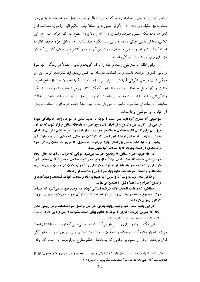تعامل فیمابین به جایی خواهد رسید که به نبرد آمال و امیال تبدیل خواهد شد نه به بررسی محبّتآمیز حقیقت و یافتن آن. نگرش صبورانه و انعطافپذیر تعالیم الهی را مورد مصالحه قرار نخواهد داد، بلکه مستلزم صرف وقت برای رشد و بالا بردن سطح ادراک خواهد شد. ً در این تلاش، دعا نيز نقشي حياتي دارد. ۖ والدين بايد الگو و مثال باشند. در داخل جوّ و محيط خانواده است که تربیت و تعلیم اساسی فرزندان صورت میگیرد، نه در کلاس های اطفال؛ گو این که اینها نيز براي ترقّى و پيشرفت آنها لازم است.

وقتي اطفال به سنّ بلوغ رسند و خانه را ترك گويند، والدين احتمالاً در زندگي آنها نفوذ و تأثیر کمتری خواهند داشت و در انتخاب دوستان نیز نقش زیادی ایفا نخواهند کرد. این امر ممكن است موجب نگراني آنها شود زيرا، دير يا زود، فرزند آنها احتمالاً قصد ازدواج خواهد داشت و آنها مایل خواهند بود به فرزند خود کمک کنند بهترین انتخاب را در مورد شریک زندگی اش داشته باشد. با توجّه به این واقعیت که والدین حق ندارند در فرایند انتخاب دخالت نمایند،' این نکته از حسّاسیت خاصّی برخوردار است. بیتالعدل اعظم در مکتوبی خطاب به یکی از احبّاء به اين موضوع پر داختهاند:

مواضیعی که مطرح کرده اید بهتر است با توجّه به تعالیم بهائی در مورد روابط خانوادگی مورد بررسی قرار گیرد. بین والدین و فرزندان باید روح احترام و ملاحظهٔ متقابل برقرار شود، که در آن، فرزندان برای کسب نظر و هدایت به والدین خود روی بیاورند، و والدین به تعلیم و تربیت فرزندان خود بیردازند. گمرهٔ این ارتباط این است که کودکان در حالی که قوای تمیز و قضاوت آنها تهذيب و تز کيه شده به سنّ بزرگسالي وارد مي شوند، به طوري که مي توانند سکّان زندگي خود رابه نحوی در دست بگیرند که به سعادت آنها منتهی شود.

در چارچوب احترام متقابل، از والدین خواسته میشود، موقعی که فرزندان آنها در حال ایجاد دوستیهایی هستند که ممکن است نهایتاً به ازدواج منجر شود، حکمت و بصیرت نشان دهند. آنها ً شرایطی را که توصیه و پند باید ارائه شود، و شرایطی را که وارد شدن در جریان مزبور حمل بر مداخله و مزاحمت خواهد شد، دقیقاً باید مورد تأمّل و ملاحظه قرار دهند.

و امّا فرزندان باید دریابند که والدین آنها عمیقاً به رفاه و سعادت آنها علاقمندند، و دیدگاههای والدين احترام و ملاحظهٔ دقيق را تضمين مينمايد.

همانطور که واقفید، انتخاب اوّلیهٔ شریک زندگی توسّط دو فردی صورت می گیرد که مستقیماً درگیر موضوع هستند، و رضایت والدین در قید حیات، بعد از آن خواسته میشود، و برای صورت گرفتن ازدواج لازم است.

در این باب، مانند کلّیّه وجوه روابط بشری، در حلّ و فصل سوءتفاهمات و در روشن شدن آنچه که بهترین جریان رفتاری با توجّه به تعالیم بهائی است، مشورت ارزش والایی دارد. (ترجمه ـ مکتوب ۲۵ ژوئیه از طرف معهد اعلی به یکی از احبّاء)

این مکتوب راه را برای والدین باز می کند که به دوستی هایی که توسّط فرزندانشان ایجاد می شود اظهار علاقه کنند، و علاقه و توجّه مزبور را در متن تعالیم بهائی در مورد روابط خانوادگی قرار میدهد. یکی از مهمترین نکاتی که بیتالعدل اعظم مطرح میفرمایند این است که، وقتی

<sup>&</sup>lt;sup>1</sup> حضرت عبدالبهاء م<sub>ى</sub>فرمايند، "... اوّل بايد كه شما يكي را بيسنديد، بعد به رضايت پدر و مادر مرهون؛ قبل از انتخاب شما آنان حق مداخله ندارند." (منتخبات مكاتيب، ج ١، ص ١١٥)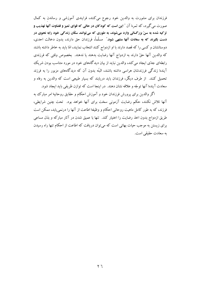فرزندان برای مشورت به والدین خود رجوع می کنند، فرایندی آموزشی و رساندن به کمال صورت مي گيرد، كه ثمرهٔ آن ″ اين است كه كودكان در حالي كه قواي تميز و قضاوت آنها تهذيب و تز کیه شده به سنّ بزرگسالی وارد می شوند، به طوری که می توانند سکّان زندگی خود رابه نحوی در دست بگیرند که به سعادت آنها منتهی شود." مسلّماً، فرزندان حق دارند، بدون دخالت احدی، دوستانشان و کسی را که قصد دارند با او ازدواج کنند انتخاب نمایند، امّا باید به خاطر داشته باشند كه والدين آنها حقّ دارند به ازدواج آنها رضايت بدهند يا ندهند. بخصوص وقتى كه فرزندى رابطهای جدّی ایجاد می کند، والدین نباید از بیان دیدگاههای خود در مورد متناسب بودن شریک آیندهٔ زندگی فرزندشان هراسی داشته باشند، البتّه بدون آن که دیدگاههای مزبور را به فرزند تحمیل کنند. از طرف دیگر، فرزندان باید دریابند که بسیار طبیعی است که والدین به رفاه و سعادت آيندهٔ آنها توجّه و علاقه نشان دهند. در اينجا است كه توازن ظريفي بايد ايجاد شود.

اگر والدین برای پرورش فرزندان خود و آموزش احکام و حقایق روحانیهٔ امر مبارک به آنها تلاش نکنند، حکم رضایت آزمونی سخت برای آنها خواهد بود. تحت چنین شرایطی، فرزند، که به طور کامل ماهیت روحانی احکام و وظیفهٔ اطاعت از آنها را درنمی یابد، ممکن است طريق ازدواج بدون اخذ رضايت را اختيار كند. تنها با عميق شدن در آثار مباركه و بذل مساعى برای زیستن به موجب حیات بهائی است که میتوان دریافت که اطاعت از احکام تنها راه رسیدن به سعادت حقیقی است.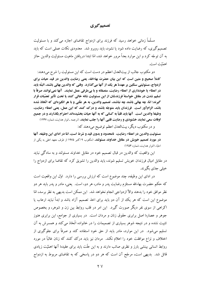#### تصمیم گیری

مسلَّماً زمانی خواهد رسید که فرزند برای ازدواج تقاضای اجازه میکند و با مسئولیت تصمیم گیری، که رضایت داده شود یا نشود، باید روبرو شد. معدودی نکات عملی است که باید به آن توجّه کرد و این موارد بعداً مرور خواهد شد، امّا ابتدا دریافتن ماهیت مسئولیت والدین حائز اهمّت است.

دو مکتوب جالب از بیتالعدل اعظم در دست است که این مسئولیت را شرح می دهند: كاملاً صحيح و متين است كه اين بيان حضرت بهاءالله، يعني رضايت والدين در قيد حيات براي ازدواج، مسئوليتي سنگين بر عهدهٔ هر يک از آنها ميگذارد. وقتي که والدين بهائي باشند، البتّه بايد در اعطاء یا خودداری از اعطاء رضایت، منصفانه و با بیطرفی عمل نمایند. آنها نمیتوانند صرفاً با تسلیم شدن در مقابل خواستهٔ فرزندشان از این مسئولیت شانه خالی کنند یا تحت تأثیر تعصّبات قرار گیرند؛ امّا، چه بهائی باشند چه نباشند، تصمیم والدین، به هر علّتی و با هر انگیزهای که اتّخاذ شده باشد، الزامآور است. فرزندان باید متوجّه باشند و درک کنند که این عمل، یعنی اعطاء رضایت، وظيفة والدين است. آنها بايد قلباً به كساني كه به آنها حيات بخشيدهاند احترام بگذارند و در جميع اوقات سعی نمایند خشنودی و رضایت قلبی آنها را جلب نمایند. (ترجمه رانوار هدایت، شماره ١٢٣٧)

و در مکتوب دیگر، بیتالعدل اعظم توضیح میدهند که:

مسئوليت والدين در اعطاء رضايت، نامحدود و بدون قيد و شرط است، امّا در اداي اين وظيفه، آنها **در مورد تصمیم خویش در مقابل خداوند مسئولند.** (مکتوب ۹ اکتبر ۱۹۷۵ از طرف معهد اعلی به یکی از احتَّاء (انوار هدايت، شماره ۱۲۵۴)

این واقعیت که والدین در قبال تصمیم خود در مقابل خداوند مسئولند و به سادگی نباید در مقابل امیال فرزندان خویش تسلیم شوند، باید والدین را تشویق کرد که تقاضا برای ازدواج را خىلى جدّى ىگىرند.

در ادای این وظیفه، چند موضوع است که ارزش بررسی را دارد. اوّل این واقعیت است که حکم حضرت بهاءالله مستلزم رضایت پدر و مادر، هر دو، است. یعنی، مادر و پدر باید هر دو نظر موافق خود را بدهند والاّ ازدواجي انجام نخواهد شد. اين ممكن است بديهي به نظر برسد، امّا موضوع این است که هر یک از آن دو باید برای اخذ تصمیم آزاد باشد و ابداً نباید ارعاب یا اکراهی از سوی نفر دیگر صورت گیرد. این امر در قلب روابط بین زن و شوهر، و بخصوص جوهر و عصارهٔ اصل برابری حقوق زنان و مردان است. در بسیاری از جوامع، این برابری هنوز تثبیت نشده و در نتیجه شوهر بسیاری از تصمیمات را در خانواده اتّخاذ می کند و همسرش به آن تسلیم میشود. در این موارد، مادر باید از حق خود استفاده کند و صرفاً برای جلوگیری از اختلاف و نزاع موافقت خود را اعلام نکند. مردان نیز باید درک کنند که زنان غالباً در مورد روابط انسانی بینشی بارز و نظری صائب دارند و به این علّت باید برای عقیدهٔ آنها اهمّیّت زیادی قائل شد. بدیهی است، مرجّح آن است که هر دو در پاسخی که به تقاضای مربوط به ازدواج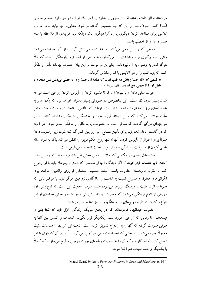میدهند توافق داشته باشند، امّا این ضرورتی ندارد زیرا هر یک از آن دو حق دارد تصمیم خود را اتَّخاذ کند. صرف نظر از این که چه تصمیمی گرفته می شود، مشاورهٔ آنها نباید نبرد آمال یا تلاشی برای متقاعد کردن دیگری یا رد آرا دیگری باشد، بلکه باید فرایندی از ملاحظه با سعهٔ صدر و عاری از تعصّب باشد.

موقعی که والدین سعی میکنند به اخذ تصمیمی نائل گردند، از آنها خواسته می شود وقتی تصمیم گیری بر فرزندانشان اثر میگذارد، به میزانی از انقطاع و وارستگی برسند که قبلاً هرگز قادر به وصول به آن نبودهاند. بنابراین میتوانند بر این بیان حضرت بهاءالله تأمّل و تفکّر کنند که باید قلب را از هر آلایشی پاک وو مقدّس گرداند:

به قسمی که آثار حبّ و بغض در قلب نماند که مبادا آن حبّ او را به جهتی بیدلیل میل دهد و یا بغض او را از جهتی منع نماید. (ایقان، ص١٤٩)

جواب منفی دادن و با نتیجهٔ آن که ناخشنود کردن و مأیوس کردن زوجین است مواجه شدن بسیار دردناک است. این بخصوص در صورتی بسیار دشوار خواهد بود که یک عمر به خواستههای فرزند میدان داده شده باشد. بسا از اوقات که والدین از اتّخاذ تصمیمات سخت به این علَّت اجتناب می کنند که مایل نیستند فرزند خود را خشمگین یا مکدّر مشاهده کنند، یا در مواجههای درگیر گردند که ممکن است به خصومت یا بدخُلقی و بدعُنُقی منجر شود. هر آنچه که در گذشته انجام شده باید برای تأمین مصالح آتی زوجین کنار گذاشته شود، زیرا رضایت دادن صرفاً برای احتراز از مأیوس کردن آنها نه تنها روح حکم مزبور را نقض می کند بلکه به منزله شانه خالبی کردن از مسئولیت رسیدگی به موضوع در حالت انقطاع و بی طرفی است.

بیتالعدل اعظم در مکتوبی که قبلاً در همین بخش نقل شد فرمودهاند که والدین نباید .<br>"**تحت تأثیر تعصّبات قوار عمیوند** ". اگر دیدگاه آنها از شخصی که دختر یا پسرشان باید با او ازدواج کند با نظریهٔ فرزندشان متفاوت باشد، اتّخاذ تصمیم، معضلی فراروی والدین خواهد بود. نگرانیهای معقول و مشروع نسبت به تناسب و سازگاری زوجین هرگز نباید با موضوعاتی که صرفاً به نژاد، ملّیّت یا فرهنگ مربوط میشود، اشتباه شود. واقعیت این است که نوع بشر وارد دورانی از تنوّع فرهنگی میشود که حضرت بهاءالله پیش بینی فرمودهاند، و بخش عمدهای از این تنوّع و کثرت در اثر ازدواجهای بین فرهنگها و بین نژادها حاصل میشود.

حضرت عبدالبهاء فرمودهاند که در یافتن شریک زندگی آ**اوّل باید که شما یکی را بیسندید**." تا زمانی که زوجین <sup>"</sup>مورد پسند" یکدیگر قرار بگیرند، انجذاب و کشش بین آنها به طرقی صورت گرفته که آنها را به ازدواج تشویق کرده است. تحت این شرایط، احساسات مثبت معمولاً چیرہ می شوند در حالی که احساسات منفی سرکو ب می گردند. ' برای آن که بتوان با این تمایل کنار آمد، آثار مبارکه آن را به صورت وظیفهای جهت زوجین مطرح می سازند که کاملاً با یکدیگر و خصوصیات هم آشنا شوند:

Maggi Scarf, Intimate Partners: Patterns in Love and Marriage, p. 14<sup>1</sup>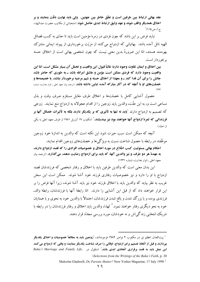عقد بهائي ارتباط بين طرفين است و تعلَّق خاطر بين جهتين. ولي بايد نهايت دقَّت بنمايند و بر اخلاق همديگر واقف شوند و عهد وثيق ارتباط ابدي حاصل شود. (منتخباتي از مكاتيب حضرت عبدالبهاء، ج۱، ص۱۱۵)`

نباید فرض بر این باشد که چون فردی در زمرهٔ مؤمنین است باید تا حدّی به کسب فضائل الهیه نائل آمده باشد. بهائیانی که ازدواج میکنند از مزیّت برخورداری از پیوند ایمانی مشترک بهرهمند هستند، امّا این ضرورةً بدین معنی نیست که چون شخصی بهائی است از اخلاق حسنه بر خو ر دار است.

بین اخلاق و ایمان تفاوت وجود دارد؛ غالباً قبول این واقعیت و تحمّل آن بسیار مشکل است، امّا این واقعیت وجود دارد که فردی ممکن است مؤمن و عاشق امرالله باشد ـ به طوری که حاضر باشد جانش را برای آن فدا کند ـ و معهذا از اخلاق حسنه و شیم مرضیه برخوردار نباشد، یا خصیصهها و خصلتهای او با آنچه که در آثار مبارکه آمده تباین داشته باشد. (ترجمه بیان معهد اعلی ـ انوار هدایت، شماره

حصول آشنايي كامل با خصلتها و اخلاق طرف مقابل مستلزم صرف وقت و بذل مساعی است و، به این علّت، والدین باید زوجین را از اقدام عجولانه به ازدواج منع نمایند. زوجی که تصمیم به ازدواج دارند "باید نه تنها به تأثیری که بر یکدیگر دارند بلکه به تأثیرات خصائل آنها بر **فرزندانی که ثمرهٔ ازدواج آنها خواهند بود نیز بیندیشند.**" (مکتوب ۱۹ آوریل ۱۹۸۱ از طرف معهد اعلی به یکی از احبّاء)

آنچه که ممکن است سبب حیرت شود این نکته است که والدین به اندازهٔ خود زوجین موظَّفند در رابطه با حصول شناخت نسبت به و یژگی ها و خصلتهای زوجین اقدام نمایند.

احکام بهائی مسئولیت کسب اطّلاع در مورد اخلاق و خصوصیات افرادی را که قصد ازدواج دارند، به عهدهٔ هر دو طرف، و نیز والدین آنها، که باید برای ازدواج رضایت دهند، میگذارد. (ترجمه بیان معهد اعلی - انوار هدایت، شماره ۱۲۳۱)

این بدان معنی است که والدین طرفین باید با اخلاق و رفتار شخصی که فرزندشان قصد ازدواج با او را دارد و نیز خصوصیات رفتاری فرزند خود آشنا شوند. ممکن است این سخن غريب به نظر بيايد كه والدين بايد با اخلاق فرزند خود نيز بايد آشنا شوند، زيرا آنها فرض را بر این قرار خواهند داد که از قبل این آشنایی را دارند. امّا رابطهٔ آنها با فرزندشان، رابطهٔ والد۔ فرزندي بوده، و با بزرگ شدن و بالغ شدن فرزندشان، احتمالاً با والدين خود به نحوي و با همتايان خود به نحو دیگری رفتار خواهند نمود.<sup>۲</sup> لهذا، والدین باید اخلاق و رفتار فرزندشان را در رابطه با شریک انتخابی زندگی اش و نه خودشان، مورد بررسی مجدّد قرار دهند.

يتالعدل اعظم نيز در مكتوب ٢ نوامبر ١٩٨٢ فرمودهاند، "زوجين بايد به مطالعة خصوصيات و اخلاق يكديگر " بيردازند و قبل از اتّخاذ تصميم براي ازدواج، اوقاتي را صرف شناخت يكديگر بنمايند؛ و وقتي كه ازدواج مي كنند Baha'i Marriage and Family Life, (منقول در Baha'i Marriage and Family Life, ) (Selections from the Writings of the Baha'i Faith, p. 20)

Malcolm Gladwell, Do Parents Matter? New Yorker Magazine, 17 July 1998<sup>2</sup>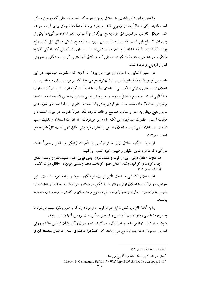والدین به این دلیل باید پی به اخلاق زوجین ببرند که احساسات منفی که زوجین ممکن است نادیده بگیرند غالباً بعد از ازدواج ظاهر میشود و منشأ مشکلات جدّی برای آینده خواهد شد. مایکل کاواناو، درکتابش *قبل از ازدواج: بیگدار به آب نزن* (ص۱۴۶)، میگوید، <sup>"</sup>یکی از بدیهیات ازدواج این است که بسیاری از مسائل مربوط به ازدواج، زمانی مسائل قبل از ازدواج بودند که نادیده گرفته شدند یا چندان جدّی تلقّی نشدند. بسیاری از کسانی که زندگی آنها به طلاق منجر شد می توانند دقیقاً بگویند مسائلی که به طلاق آنها منتهی گردید به شکلی و صورتی قبل از ازدواج وجود داشت.″

در مسیر آشنایی با اخلاق زوجین، پی بردن به آنچه که حضرت عبدالبهاء در این خصوص فرمودهاند، مفید خواهد بود. ایشان توضیح میدهند که هر فردی دارای سه خصیصه و اخلاق است: فطري، ارثي و اكتسابي.` اخلاق فطري ما اساساً در كلّيّه افراد بشر مشترك و داراي منشأ الهي است. به جميع ما عقل و روح و نفس و نيز قوايي مانند بيان، حس لامسه، شامّه، سامعه، و توانایی استدلال داده شده است. هر فردی به درجات مختلف دارای این قوا است، و تفاوتهای مزبور هيچ ربطي به خير و شرَّ، يا صحيح و غلط ندارد، بلكه صرفاً تفاوت در ميزان استعداد و قابلیت است. حضرت عبدالبهاء این نکته را روشن میفرمایند که تفاوت استعداد و قابلیت سبب تقاوت در اخلاق نمی شود، و اخلاق طبیعی یا فطری فرد بشر "خَلق الهیی است، کلّ خیر محض **است.**" (ص ۱۶۳)

از طرف دیگر، اخلاق ارثی ما از ترکیبی از تأثیرات ژنتیکی و داخل رحمی<sup>۲</sup> نشأت مي گيرد كه ما از والدين حقيقي و طبيعي خود كسب مي كنيم:

امّا تفاوت اخلاق ارثي؛ اين از قوّت و ضعف مزاج، يعني ابوين چون ضعيفالمزاج باشند، اطفال چنان گردند و اگر قوی باشند، اطفال جسور گردند... ضعف و سستی ابوین در اطفال میراث گشته... (مفاوضات، ص١۶٢)

امّا، اخلاق اکتسابی ما تحت تأثیر تربیت، فرهنگ، محیط و ارادهٔ خود ما است. این عوامل، در ترکیب با اخلاق ارثی، رفتار ما را شکل میدهند و میتوانند استعدادها و قابلیتهای طبیعی ما را منحرف سازند یا سجایا و خصائل ممدوح و ستودهای را که در ما وجود دارد، توسعه ىخشند.

بنا به گفتهٔ کاواناو، شش تمایل در ترکیب ما وجود دارد که به طور بالقوّه سبب می شود ما به طرق مشخَّصي رفتار نماييم." والدين و زوجين ممكن است بررسي آنها را مفيد بيابند. هوش عبارت از توانایی ما برای استدلال و درک است، و میزان وگسترهٔ آن توانایی غالباً موروثی است. حضرت عبدالبهاء توضيح مي فرمايند كه، "قوّة درّاكه قوّهاي است كه انسان بواسطة آن از

مفاوضات عبدالبهاء، ص ١۶١

 $^2$ يعني در فاصلهٔ بين انعقاد نطفه و تولّد رخ ميدهد.

Micael E. Cavanaugh, Before the Wedding: Look Before You Leap, p. 148<sup>3</sup>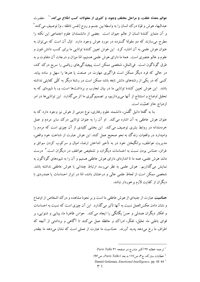عوالم متعدّد خلقت، و مراحل مختلف وجود، و کثیری از معقولات کسب اطّلاع می کند." \ حضرت عبدالبهاء هوش و قوّة درك انسان را به واسطهٔ بین جسم و روح [نفس ناطقه ـ م] توصیف می كنند ً و آن متمایز کنندهٔ انسان از عالم حیوان است. بعضی از دانشمندان علوم اجتماعی این نکته را مطرح می سازند که دو مقولهٔ گسترده در مورد هوش وجود دارد. اوّل آن است که می توان به عنوان هوش علمی به آن اشاره کرد. این هوش تعیین کنندهٔ توانایی ما برای کسب دانش فنون و علوم و عالم عنصری است. همهٔ ما دارای هوش علمی هستیم، امّا میزان و درجات آن متفاوت و به طرق گوناگون است. فی|لمثل، شخصی ممکن است پیچیدگیهای ریاضی را سریع درک کند، در حالی که فرد دیگر ممکن است فراگیری مهارت در صنعت یا هنرها را سهل و ساده بیابد. کسی که در یکی از رشتههای دانش نابغه باشد ممکن است در رشتهٔ دیگر به کلّی کفایتی نداشته باشد. این هوش تعیین کنندهٔ توانایی ما در بیان تجارب و برداشتها است، و، با شیوهای که به تحلیل اوضاع و استنتاج از آنها میپردازیم، بر تصمیمگیری ما اثر میگذارد. این تواناییها در امر ازدواج حائز اهمّيّت است.

بنا به گفتهٔ دانیل گُلمَن، دانشمند علوم رفتاری، نوع دومی از هوش نیز وجود دارد که به عنوان هوش عاطفی به آن اشاره میکند. او آن را به عنوان توانایی درک سایر مردم و عمل خردمندانه در روابط بشری توصیف میکند. این بخشی کلیدی از آن چیزی است که مردم را وامیدارد در واقعیات زندگ به نحو صحیح عمل کنند. این هوش عبارت از شناخت خود واقعی، مدیریت عواطف، برانگیختن خود در به تأخیر انداختن ارضاء امیال و سرکوب کردن سوائق و غرائز، حسّاس بودن نسبت به احساسات دیگران، و تشخیص عواطف در دیگران است.<sup>۳</sup> درست مانند هوش علمی، همه ما تا اندازهای دارای هوش عاطفی هستیم و آن را به شیوههای گوناگون به نمایش می گذاریم. هوش علمی به نظر می رسد ارتباط چندانی با هوش عاطفی نداشته باشد. شخصی ممکن است از لحاظ علمی عالی و درخشان باشد، امّا در ابراز احساسات یا همدردی با ديگران از كفايت لازم برخوردار نباشد.

**حسّاسیت** عبارت از جنبهای از هوش عاطفی ما است و بر نحوهٔ مشاهده و درک اشخاص از اوضاع و نشان دادن عکسالعمل نسبت به آنها تأثیر میگذارد. این آن چیزی است که نسبت به احساسات و افکار دیگران همدلی و حسّ یگانگی را ایجاد میکند. حواس ظاهرهٔ ما، بینایی و شنوایی، بر قوای باطنی ما، تخیّل، تفکّر، ادراک و حافظه عمل می کنند تا آگاهی و برداشتی از آنچه که اطراف ما رخ میٖدهد پدید آورند. حسّاسیت ما عبارت از عملی است که نشان میٖدهد ما چقدر

خطابات مباركه، ج٣، ص١١٧ به بعد (Paris Talks، ص٩۶)

Paris Talks ۴۱ اکتبر مندرج در صفحه ۶۱ Paris Talks

Daniel Goleman, *Emotional Intelligence*, pp. 43 44<sup>3</sup> ۲ ۱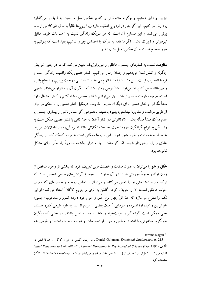تیزبین و دقیق هستیم، و چگونه ملاحظاتی را که بر عکسالعمل ما نسبت به آنها اثر میگذارد پردازش میکنیم. این گرایش در ازدواج اهمّیّت دارد زیرا زوجها غالباً به طرق غیرکلامی ارتباط برقرار می کنند و این مستلزم آن است که هر شریک زندگی نسبت به احساسات طرف مقابل .<br>تیزهوش و زیرک باشد. اگر ما قادر به درک ییا احساس چیزی نباشیم، بعید است که بتوانیم به طور صحيح نسبت به آن عكس العمل نشان دهيم.

<mark>مقاومت</mark> نسبت به فشارهای جسمی، عاطفی و فیزیولوژیک تعیین می کند که ما در چنین شرایطی چگونه واکنش نشان می<mark>دهیم و چسان رفتار میکنیم. فشار عصبی یک وواقعیت زندگی است و</mark> لزوماً نامطلوب نیست. این فشار غالباً ما را الهام میبخشد تا به اعلی درجات برسیم، و شجاع باشیم و قهرمانانه عمل کنیم، امّا میتواند منشأ نوعی رفتار باشد که دیگران آن را دشوار مییابند. بدیهی است، هرچه مقاومت ما قوی تر باشد بهتر می توانیم با فشار عصبی مقابله کنیم و کمتر احتمال دارد منشأ نگرانی و فشار عصبی برای دیگران شویم. مقاومت درمقابل فشار عصبی را تا حدّی می توان از طریق مراقبت و مشاورهٔ بهداشتی، بهبود بخشید، بخصوص اگر مسائل ناشی از پیماری جسمی با عدم درک منشأ مسأله باشد. امّا، ناتوانی در کنار آمدن به حدّ کافی با فشار عصبی ممکن است به وابستگی به انواع گوناگون داروها جهت معالجهٔ مشکلاتی مانند افسردگی، درد، اختلالات مربوط به خواب، خمودت و غیره منجر شود. این داروها ممکنن است به مردم کمک کند از زندگی عادّی و زایا برخوردار شوند، امّا اگر مدّت آنها به درازا بکشد، ضرورةً راه حلّی برای مشکل نخواهد بو د.

**خُلق و خو** را می توان به عنوان صفات و خصلتهایی تعریف کرد که بخشی از وجود شخص از زمان تولَّد و عموماً موروثي هستند؛ و آن عبارت از مجموع گرايشهاي طبيعي شخص است كه ترکیب زیستشناختی او را تعیین می کند، و می توان بر اساس روحیه و حوصلهای که معرّف حیات عاطفی است، آن را تعریف کرد. گلمَن به اثری از جروم کاگان<sup>۱</sup> استناد میکند؛ او این نکته را مطرح می سازد که حلّ اقلّ چهار نوع خُلق و خو وجود دارد؛ کمرو و محجوب؛ جسور؛ خوش بین و امیدوار؛ افسرده و سودایی.<sup>۲</sup> مثلاً، بعضی از مردم از ابتدا به طور طبیعی کمرو هستند، حتّی ممکن است گوشهگیر و عزلتخواه و فاقد اعتماد به نفس باشند، در حالبی که دیگران خونگرم، معاشرتی، با اعتماد به نفس و در ابراز احساسات و عواطف خود راحتند؛ و نفوسی هم

Jerome Kagan<sup>1</sup>

<sup>2</sup> Daniel Goleman, *Emotional Intelligence*, p. 215 . در اینجا گلمن به جروم کاگان و همکارانش در Initial Reactions to Unfamiliarity, Current Directions in Psychological Science (Dec 1992) تأليف (Initial Reactions to Unfamiliarity, Current Directions in Psychological Science اشاره می کند. کامل ترین توصیف از زیستشناسی خلق و خو را می توان در کتاب Galen's Prophesy اثر کاگان مشاهده کر د.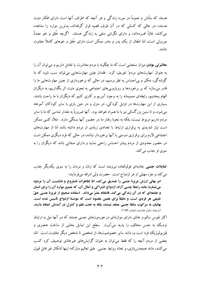هستند که بشَّاش و عموماً در مورد زندگی و هر آنچه که اطراف آنها است دارای افکار مثبت هستند، در حالی که کسانی که در آن طرف قضیه قرار گرفتهاند، بدترین موارد را مشاهده می کنند، غالباً افسردهاند، و دارای نگرشی منفی به زندگی هستند. اگرچه خُلق و خو عمدةً موروثی است، امّا اطفال از یک یدر و مادر ممکن است دارای خُلق و خوهای کاملاً متفاوت باشند.

هعا**شرتی بودن** میزان سنجشی است که ما چگونه با مردم معاشرت یا تعامل داریم و میتوان آن را به عنوان "مهارتهای مردم" تعریف کرد. فقدان چنین مهارتهایی میتواند سبب شود که ما گوشهگیر، متکبّر و بی|حساس به نظر برسیم، در حالی که برخورداری از چنین مهارتهایی ما را قادر میسازد که بر برخوردها و رویاروییهای اجتماعی به نحوی مثبت اثر بگذاریم، به دیگران الهام ببخشیم، رابطهای صمیمانه را به وجود آوریم و کاری کنیم که دیگران با ما راحت باشند. بسیاری از این مهارتها در اوایل کودکی، در منزل و در حین بازی با سایر کودکان آموخته میشود، و تا سنین بزرگسالی نیز با ما همراه خواهد بود. آنها ضرورةً به مقدار تماسی که ما با سایر مردم داریم مربوط نیست، بلکه به نحوهٔ رفتار ما در حضور آنها بستگی دارد. مثلاً، کسی ممکن است نیاز شدیدی به برقراری ارتباط با تعدادی زیادی از مردم داشته باشد امّا از مهارتهای اجتماعی لازم برای برقراری دوستی با آنها برخوردار نباشد، در حالی که فرد دیگری ممکن است در حضور معدودی از مردم بیشتر احساس راحتی نماید و دارای صفاتی باشد که دیگران را به سوي او جذب مي كند.

**تمایلات جنسی** جاذبهای فوق|لعاده نیرومند است که زنان و مردان را به سوی یکدیگر جذب مي كند و جزء مهمّى از هر ازدواج است. حضرت ولي امرالله ميفرمايند:

امر بهائي ارزش غريزة جنسي را تصديق مي كند، امّا تظاهرات نامشروع و ناشايست آن را مردود میشمارد؛ مانند رابطهٔ جنسی آزاد، ازدواج اشتراکی و امثال آن، که جمیع موارد آن را برای انسان و جامعه|ی که در آن زندگی می کند، قاطعانه مضرّ میداند. استفاده صحیح از غریزهٔ جنسی حقّ طبیعی هر فردی است، و دقیقاً برای همین مقصود است که مؤسّسهٔ ازدواج تأسیس شده است. بهائیان به سرکوب سائقهٔ جنسی معتقد نیستند، بلکه به تحت نظم و کنترل در آمدنش اعتقاد دارند. (ترجمه - انوار هدایت، شماره ۱۱۵۶)

اکثر نفوس سالم و عادّی دارای موازنهای در هورمونهای جنسی هستند که در آنها میل به ارتباط نزدیک به جنس مخالف را پدید میآورد. سطح این تمایل بخشی از ساخت عنصری و فیزیولوژیک فود است و، مانند سایر خصوصیتها، از شخصی تا شخص دیگر متفاوت است. امّا، بعضی از مردم آنچه را که فقط می توان به عنوان گرایشهای غیرعادّی توصیف کرد کسب می کنند، مانند همجنسبازی، و تعدّد روابط جنسی. طبق تعالیم مبارکه، اینها اَشکال غیر قابل قبول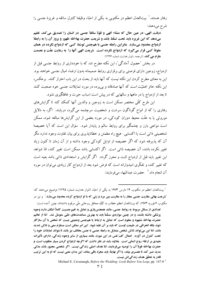رفتار هستند.' بيتالعدل اعظم در مكتوبي به يكي از احبّاء وظيفهٔ كنترل سائقه و غريزهٔ جنسي را شر ح می دهند:

ديانت الهي، در عين حال كه منشاء الهي و قوّةً سائقةً جنسي در انسان را تصديق مي كند، تعليم می دهد که این غریزه باید تحت تسلُّط باشد و شریعت حضرت بهاءالله ظهور و بروز آن را به رابطهٔ ازدواج محدود میسازد. بنابراین رابطه جنسی با همجنس توسّط کسی که ازدواج نکرده در همان مقولهٔ کسی قرار میگیرد که ازدواج نکرده است. شریعت الهی آنها را به رعایت عفّت و عصمت هلزم هي كند. (ترجمه \_انوار هدايت شماره ١٢٢۶)

در بخش "حصول آمادگی"، این نکته مطرح شد که با خودداری از روابط جنسی قبل از ازدواج، زوجین دارای فرصتی برای برقراری روابط صمیمانه بدون ارضاء امیال جنسی خواهند بود. این به معنای مطرح کردن این نکته نیست که آنها باید از بحث در این باب احتراز کنند. برعکس، این نکته حائز اهمّیّت است که آنها صادقانه و بی پرده در مورد تمایلات جنسی خود صحبت کنند تا بعد از ازدواج یا در ماهها و سالهایی که در پیش است اسباب حیرت و غافلگیری نشود.

این طرح کلّی مختصر ممکن است به زوجین و والدین آنها کمک کند تا گرایشهای رفتاری را که از انواع گوناگون سرشت و شخصیت سرچشمه می گیرد، دریابند. اگر، به دلایل موروثی یا به علّت محیط دوران کودکی، در مورد بعضی از این گرایشها مبالغه شود، ممکن است موانعی بارز و چشمگیر برای روابط سالم و پایدار شود. سؤال این است که آیا خصیصهٔ شخصیتی ذاتی است یا اکتسابی. هیچ راه مطمئن و خطاناپذیری برای بیان تفاوت وجود ندارد مگر آن که پذیرفته شود که اگر خصیصه از اوایل کودکی وجود داشته و از آن زمان تا کنون زیاد تغییر نکرده باشد، آن خصیصه ذاتی است. اگر اکتسابی باشد ممکن است تغییر کند، امّا شواهد این تغییر باید قبل از ازدواج ثابت و محرز گردد. اگر گرایش و استعدادی ذاتی باشد بعید است که تغییر کند، و تفکّری امیدوارانه است که فرض شود بعد از ازدواج کار زیادی میتوان در مورد آن انجام داد.<sup>۲</sup> حضرت عبدالبهاء مىفرمايند:

<sup>1</sup> بیتالعدل اعظم در مکتوب ۱۴ مارس ۱۹۷۳ به یک<sub>ی</sub> از احبّاء (انوار هدایت شماره ۱۲۲۵) توضیح می<mark>دهند که:</mark> 'شریعت بهائی مقاربت جنسی مجاز را به مقاربت بین مرد و زنی که با او ازدواج کرده محدود میسازد.″ و نیز در مکتوب ۶ فوریه ۱۹۷۳، که بیتالعدل اعظم خطاب به کلّیّه محافل روحانی ملّی مرقوم داشتهاند چنین آمده است:

تعدادی از مسائل مربوط به روابط جنسی، مانند همجنس،ازی و تمایل به تغییرجنسیت کاملاً امکان دارد وجوه یزشکی داشته باشند، و در چنین مواردی مسلّماً باید به بهترین مساعدتهای طبّی متوسّل شد. آمّا از تعالیم حضرت بهاءالله مشهود و معلوم است که تمایل به ارتباط با همجنس وضعیتی نیست که شخص با آن سازگار شود، بلکه انحرافی در طبیعت اوست که باید بر آن غلبه شود. این امر ممکن است مستلزم سعی و تلاش شدید باشد، امّا این میتواند تلاش شخص متمایل به رابطه جنسی با جنس مخالف نیز باشد تا بتواند تمایلات خود را تحت کنترل در آورد. اعمال کفّ نفس در این مورد، مانند بسیاری از سایر وجوه زندگی، دارای تأثیرات مفيدي بر ارتقاء روح انساني است. بعلاوه، بايد در نظر داشت كه اگرچه ازدواج كردن بسيار مطلوب است، و حضرت بهاءالله قویّاً آن را توصیه میفرمایند، امّا هدف اصلی زندگی نیست. اگر شخصی مجبور باشد مدّتی مدید صبر کند تا همسری بیابد، یا اگر نهایتاً، باید مجرّد باقی بماند، این بدان معنی نیست که او به این ترتیب قادر به تحقّق هدف زندگی!ش نیست.

Michael E. Cavanaugh, Before the Wedding: Look Before You Leap, pp 147-8<sup>2</sup>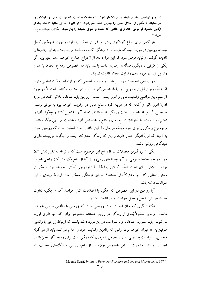تعلیم و تهذیب بعد از بلوغ بسیار دشوار شود. تجربه شده است که نهایت سعی و کوشش را مینمایند تا خُلقی از اخلاق نفسی را تبدیل کنند، نمیشود. اگر الیوم اندکی متنبّه گردد، بعد از ایامی معدود فراموش کند و بر حالتی که معتاد و خوی نموده راجع شود. (مکاتیب عبدالبهاء، ج ۱، ص ۴۰۵)

هر کسی برای انواع گوناگون رفتار، میزانی از تحمّل را دارد، و چون هیچکس کامل نیست، زوجین در مورد آنچه که مایلند با آن زندگی کنند، مصالحه مینمایند؛ نباید این رفتارها را نادیده گرفت، و نباید فرض شود که این موارد بعد از ازدواج اصلاح خواهند شد. بنابراین، اگر یکمی از طرفین با دیگری مسألهای رفتاری داشته باشد، باید در خصوص ازدواج محتاط باشد، و والدين بايد در مورد دادن رضايت مجدّداً انديشه نمايند.

در ارزیابی شخصیت، والدین باید در مورد مواضیعی که در ازدواج اهمّیّت اساسی دارند امّا غالباً زوجین قبل از ازدواج آنها را نادیده میگیرند نیز، با آنها مشورت کنند. احتمالاً دو مورد از مهم ترین مواضیع وضعیت مالی و امور جنسی است. ٰ زوجین باید صادقانه تلاش کنند در مورد ادارهٔ امور مالی و آنچه که در هزینه کردن منابع مالی در اولویت خواهد بود به توافق برسند. همچنین، آیا فرزند خواهند داشت و، اگر داشته باشند، تعداد آنها را تعیین کنند و چگونه آنها را تعلیم دهند و منضبط سازند؟ توزیع زمان و منابع و اختصاص آنها به خدمت امر الهی چگونه باشد، و چه نوع زندگی را برای خود مجسّم میسازند؟ این نکته نیز حائز اهمّیّت است که زوجین نسبت به آنچه که از یکدیگر انتظار دارند و این که زندگی مشترک آینده را چگونه می بینند، دارای دیدگاهی روشن باشند.

یکمی از بزرگترین معضلات در ازدواج این موضوع است که با توجّه به تغییر نقش زنان در ازدواج و جامعهٔ عمومی، از آنها چه انتظاری میرود؟ آیا ازدواج یک مشارکت واقعی خواهد بود، یا تلاشی برای تحت تسلّط گرفتن روابط؟ آیا ازدواجی "سنّتی" خواهد بود یا یکی از مسئولیتهایی که آنها مشترکاً دارا هستند؟ سوابق فرهنگی ممکن است ارتباط زیادی با این سؤالات داشته ىاشد.

آیا زوجین در این خصوص که چگونه با اختلافات کنار خواهند آمد و چگونه تفاوت عقاید خویش را حلٌّ و فصل خواهند نمود، اندیشیدهاند؟

نکتهٔ دیگری که حائز اهمّیّت است روابطی است که زوجین با والدین طرفین خواهند داشت. والدین معمولاً بُعدی از زندگی هر زوجی هستند، بخصوص وقتی که آنها دارای فرزند می شوند. باید مشورتی صادقانه و با صراحت در این مورد داشته باشند که ارتباط زوجین با والدین طرفین به چه میزان خواهد بود. ۖ وقتی که والدین رضایت خود را اعلام می کنند باید از هر گونه دخالتی، یا مبادرت به عملی، اعم از جمعی یا فردی، که ممکن است برای روابط آنها مضرّ باشد، اجتناب نمایند. مشورت در این خصوص بویژه در ازدواجهای بین فرهنگ های مختلف که

Maggie Scarf, Intimate Partners: Partners in Love and Marriage, p. 197<sup>1</sup>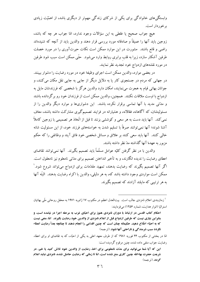وابستگیهای خانوادگی برای یکی از شرکای زندگی مهمتر از دیگری باشد، از اهمّیّت زیادی بر خوردار است.

هيچ جواب صحيح يا غلطي به اين سؤالات وجود ندارد، امّا جواب هر چه كه باشد، زوجین باید آنها را عمیقاً و صادقانه مورد بررسی قرار دهند و والدین باید از آنچه که شنیدهاند راضی و قانع باشند. مشورت در این موارد ممکن است نکات حیرتآوری را در مورد خصلت طرفین آشکار سازد، زیرا به قلب برابری روابط وارد میشود. حتّی ممکن است سبب شود طرفین در مورد نقشههای ازدواج خود تجدید نظر نمایند.

در بعضی موارد، والدین ممکن است اجرای وظیفهٔ خود در مورد رضایت را دشوار ببینند. در جهانی که مردم در جستجوی کار یا به دلایل دیگر از جایی به جایی نقل مکان می کنند، و جوانان بهائي قيام به هجرت مي نمايند، امكان دارد والدين هرگز با شخصي كه فرزندشان مايل به ازدواج با اوست ملاقات نکنند. همچنین، والدین ممکن است از فرزندان خود رو برگردانده باشند و مدّتی مدید با آنها تماسی برقرار نکرده باشند. این دشواریها و موارد دیگر والدین را از مسئولیتشان، که آگاهانه، فعّالانه، و هشیارانه در فرایند تصمیمگیری مشارکت داشته باشند، معاف نمی کند. آنها باید دست به هر سعی و کوششی بزنند تا قبل از اتّخاذ هر تصمیمی با زوجین کاملاً آشنا شوند؛ آنها نمیتوانند صرفاً با تسلیم شدن به خواستههای فرزند خود، از این مسئولیت شانه خالبي كنند. آنها بايد سعي كنند بر علائق و مسائل شخصي خود فائق آيند و وظائفي را كه حكم مزبور به عهدهٔ آنها گذاشته مدّ نظر داشته باشند.

والدین با در نظر گرفتن کلیّه عوامل مسلّماً باید تصمیم بگیرند. آنها نمیتوانند تقاضای اعطای رضایت را ندیده انگارند، و به تأخیر انداختن تصمیم برای مدّتی نامعلوم نیز نامعقول است. اگر آنها تصمیم بگیرند که رضایت بدهند، تمهید مقدّمات برای ازدواج می تواند شروع شود.' ممكن است مواردي وجود داشته باشد كه، به هر دليلي، والدين با اكراه رضايت بدهند. البتّه آنها به هر ترتسی که مایلند آزادند که تصمیم یگیرند.

<sup>1</sup> زمان $بندی اعلام نامزدی جالب است. بیتالعدل اعظم در مکتوب ۱۷ ژانویه ۱۹۷۱ به محفل روحانی ملّم بهائیان$ استراليا (انوار هدايت، شماره ١٢٥۶) مي فرمايند:

احکام کتاب اقدس در ارتباط با دوران نامزدی هنوز برای احبّای غرب به مرحله اجرا در نیامده است، و بنابراین نیازی نیست که طرفین ازدواج قبل از اعلام نامزدی از والدین خود رضایت بگیرند. امّا، منعی نیست که به احبّاء اطّلاع دهید. حکیمانه چنان است که چنین اقدامی را انجام دهند تا چنانچه بعداً رضایت اعطاء نگردد سبب شرمندگی و ناراحتی آنها نشود. (ترجمه)

امّا در پخشی از مکتوب ۲۴ فوریه ۱۹۸۱ که از طرف معهد اعلی به یکی از احتّاء، که به تقاضای او برای اعطاء رضایت جواب منفی داده شده، چنین مرقوم گردیده است:

این که آیا شما میتوانید برای مدّت نامعلومی برای اخذ رضایت از والدین خود تلاش کنید یا خیر، در شریعت حضرت بهاءالله چنین کاری منع نشده است، امّا تا زمانی که رضایت حاضل نشده، نامزدی نباید اعلام گودد. (ترجمه)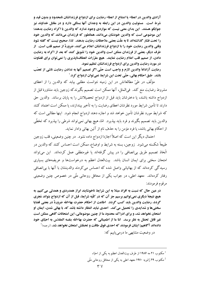آزادي والدين در اعطاء يا امتناع از اعطاء رضايت براي ازدواج فرزندانشان نامحدود و بدون قيد و شرط است. ۖ مسئولیت والدین در این رابطه به وجدان آنها بستگی دارد و در مقابل خداوند نیز جوابگو هستند. این بدان معنی نیست که مواردی وجود ندارد که والدین با اکراه رضایت بدهند؛ اين موضوعي است كه والدين خودشان مىدانند، همانطور كه فرزندان مىدانند كه والدين خود را تحت فشار گذاشتهاند تا به علّت بعضى ملاحظات رضايت بدهند. لذا، صحيح نيست كه گفته شود وقتي والدين رضايت خود را با ازدواج فرزندانشان اعلام مي كنند، ضرورةً از صميم قلب است. از طرف دیگر، بعضی از فرزندان ممکن است والدین خود را تشویق کنند که بعد از اکراه به رضایت دادن، از صمیم قلب اعلام رضایت نمایند. هیچ مقرّرات انعطافناپذیری را نمی توان برای قضاوت در مورد رضایت والدین برای ازدواج فرزندانشان تنظیم نمود.

رضایت آزادانهٔ والدین لازم و واجب است حتّی اگر تصمیم آنها به ندادن رضایت ناشی از تعصّب باشد. طبق احکام بھائي، حتّى تحت اين شرايط نمي توان ازدواج کرد.'

مؤلِّف در طيِّ مطالعاتش در اين زمينه نتوانست مطلبي بيابد كه والدين را از اعطاي مشروط رضایت منع کند. فیالمثل، آنها ممکن است تصمیم بگیرندکه زوجین باید مشاورهٔ قبل از ازدواج داشته باشند، يا دخترشان بايد قبل از ازدواج تحصيلاتش را به پايان برساند. والدين حق دارند تا تأمین شرایط مورد نظرشان اعطای رضایت را به تأخیر بیندازند، یا ممکن است اعتماد کنند که شرایط مورد نظرشان تأمین خواهد شد و اجازه دهند ازدواج انجام شود. اینها مطالبی است که والدین باید تصمیم بگیرند و فرد باید بپذیرد. امّا، هیچ بهائی نمیتواند شرطی را بپذیرد که تخطّی از احکام بهائی باشد، یا فرد مؤمن را به حذف نام از آئین بهائی وادار نماید.

احتمال دیگر این است که اصلاً اجازهٔ ازدواج داده نشود. در چنین وضعیتی، قلب زوجین طبیعةً شکسته می شود. زوجین، بسته به شرایط و اوضاع، ممکن است احساس کنند که والدین در اتَّخاذ تصميم طريق بي|نصافي را در پيش گرفتهاند يا غيرمنطقي عمل كردهاند. اين مي¤واند امتحان سختی برای ایمان انسان باشد. بیتالعدل اعظم به درخواستها و عریضههای بسیاری رسیدگی کردهاند که از بهائیانی واصل شده که احساس می کردند والدینشان با آنها با بی|نصافی رفتار کردهاند. معهد اعلی، در جواب یکی از محافل روحانی ملّی در خصوص چنین وضعیتی مرقوم فرمودند:

در عین حال که نسبت به افراد مبتلا به این شرایط ناخوشایند ابراز همدردی و همدلی میکنیم، به هيچ نتيجة ديگري نمي توانيم برسيم جز آن كه در كلّيه شرايط، قبل از آن كه ازدواج بتواند مُجرى گردد، رضایت والدین باید کسب گردد. آطاعت از احکام حضرت بهاءالله ضرورةً در بعضی قضایا سختیها و شدایدی را تحمیل می کند. احدی نباید انتظار داشته باشد که، با بهائی شدن، ایمان او امتحان نخواهد شد، و برای ادراک محدود ما از چنین موضوعاتی، این امتحانات گاهی ممکن است غير قابل تحمّل به نظر برسد. امّا ما از اطميناني كه حضرت بهاءالله بنفسه المقدّس به احبّاي خود دادهاند آگاهیم؛ ایشان فرمودند که احدی فوق طاقت و تحمّلش امتحان نخواهد شد. (ترجمه) ْ

در وضعیت مشابهی ما درمی یابیم که:

<sup>1</sup> مكتوب ٢١ مه ١٩٨۶ از طرف بيتالعدل اعظم به يكي از احبّاء

<sup>2</sup> مکتوب ۲۹ ژانویه ۱۹۷۰ معهد اعلی به یکی از محافل روحانی ملّی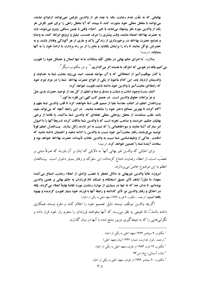بهائياني كه به علَّت عدم رضايت يك يا چند نفر از والدين طرفين نمي توانند ازدواج نمايند، می توانند با محفل محلّی خود مشورت کنند تا ببینند که آیا محفل راهی را برای تغییر نگرش هر یک از والدین مورد نظر پیشنهاد مینماید یا خیر. احبّاء، وقتی با چنین مسائلی روبرو میشوند، باید به حضرت بهاءالله اعتماد نمايند، وقت بيشتري را صرف خدمت، تبليغ و ترويج امرالله كنند، به وصايا و نصایح حضرت بهاءالله در برخورداری از زندگی پاک و عاری از هر آلودگی وفادار باشند، و به حضرتش توکّل نمایند تا راه را برایشان بگشاید و مانع را از سر راه بردارد، یا ارادهٔ خود را به آنها **بنمایاند.** (ترجمه)<sup>\</sup>

بعلاوه، "با اجرای حکم بهائی در مقابل کلّیّه مشکلات ما نه تنها اعمال و خصائل خود را تقویت می کنیم بلکه در نفوسی که اطراف ما هستند اثر می گذاریم." رو در مکتوب دیگر آ :

با گذر موفَّقیتآمیز از امتحاناتی که با آن مواجه هستید، امید میرود محبّت شما به خداوند و والدينتان ازدياد يابد. اين كلام مأخوذ از يكي از الواح حضرت بهاءالله شما را در عزم جزم خود كه رابطهاي محبّتآميز با والدين خود داشته باشيد،تقويت خواهد كرد:

**اثمار سدرهٔ وجود امانت و دیانت و صدق و صفا و اعظم از کلّ بعد از توحید حضرت باری جلّ** و عزَّ مراعات حقوق والدين است. در جميع كتب الهي اين فقره مذكور.'

بيتالعدل اعظم در اعتاب مقدّسةً عليا از صميم قلب دعا خواهند كرد تا قلب والدين شما ملهَم و آگاه گردد تا بهترین مصالح دختر خود را مشاهده نمایند. در این رابطه آنچه که می تواند مفید باشد طلب مساعدت از محفل روحانی محلّی نقطهای که والدین شما ساکنند، یا تقاضا از برخی بهائیان حکیم، خردمند و صاحب تجربه است که با والدین شما ملاقات کرده تدریجاً آنها را با اصول امر مبارك آشنا نمايند و سوءتفاهماتي را كه نسبت به امر دارند زائل سازند. پيتالعدل اعظم قويّاً توصیه میفرمایند رفتار محبّتآمیز خود نسبت به والدین را ادامه دهید و اطمینان داشته باشید که اطاعت ِ حاكي از وظيفهشناسي شما نسبت به والدين جاذب تأييدات حضرت بهاءالله خواهد بود و سعادت آیندهٔ شما را تضمین خواهد کرد. (ترجمه)

برای احبّائی که والدین غیر بهائی آنها ً به دلایلی که اینان بر آن باورند که صرفاً مبتنی بر تعصُّبِ است، از اعطاء رضایت امتناع کردهاند، این سلوک و رفتار بسیار دشوار است. بیتالعدل اعظم به اين موضوع خاصٌ ميپردازند:

امروزه، غالباً والدين غيربهائي به دلائل تحجّر يا تعصّب نژادي از اعطاء رضايت امتناع مي كنند؛ معهذا، ما مكرَّراً شاهد تأثير عميق استحكام و تمسَّك تامّ فرزندان به حكم بهائي بر همين والدين بودهایم، تا بدان حدّ که نه تنها در بسیاری از موارد رضایت مورد تقاضا نهایتاً اعطاء می گردد، بلکه در اخلاق و رفتار والدين نيز تأثير گذاشته و رابطهٔ آنها با فرزند خود بسيار تقويت گرديده و بهبود **یافته است.** (ترجمه ـ مکتوب ۶ فوریه ۱۹۷۳ معهد اعلی به یکی از احبّاء)

اگرچه والدین موظّف نیستند دلیل تصمیم خود را اعلام کنند و ملزم نیستند همکاری داشته باشند°، امّا طبیعی به نظر میٖرسد که آنها بخواهند فرزندان را محرم راز خود قرار داده و نگرانیهایی را که به نتیجه گیری مزبور منتج شده با آنها در میان گذارند.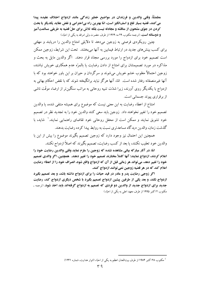مطمئنّاً، وقتى والدين و فرزندان در مواضيع خطير زندگي مانند ازدواج اختلاف عقيده پيدا می کنند، قضیه بسیار تلخ و اسفانگیز است، امّا بهترین راه بیاحترامی و نقض عقاید یکدیگر یا بحث کردن در جوّی مشحون از مناقشه و مجادله نیست بلکه تلاش برای حلّ قضیه به طریقی مسالمتآمیز **و دوستانه است.** (ترجمه مكتوب ٢٩ مه ١٩٢٩ از طرف حضرت ولى امرالله به يكي از احبّاء)

چنین رویکردی فرصتی به زوجین می،دهد تا دلایلی امتناع والدین را دریابند و مهلتی برای کسب بینشهای جدید در ارتباط فیمابین به آنها میبخشد. تحت این شرایط، زوجین ممکن است تصمیم خود برای ازدواج را مورد بررسی مجدّد قرار دهند. اگر والدین مایل به بحث و مذاکره در مورد تصمیمشان برای امتناع از دادن رضایت یا بالمرّه عدم همکاری خویش نباشند، زوجین احتمالاً مغلوب خشم خویش می شوند و سرگردان و حیران بر این باور خواهند بود که با آنها غیرمنصفانه رفتار شده است. امّا، آنها هرگز نباید برانگیخته شوند که با نقض احکام بهائی به ازدواج با یکدیگر روی آورند، زیرا شدّت تنبیه روحانی به مراتب سنگین تر از ارضاء موقّت ناشی از برقراری پیوند جسمانی است.

امتناع از اعطاء رضایت به این معنی نیست که موضوع برای همیشه منتفی شده، یا والدین تصميم خود را تغيير نخواهند داد. زوجين بايد سعي كنند والدين خود را به تجديد نظر در تصميم خود تشویق نمایند و ممکن است از محفل روحانی خود تقاضای راهنمایی نمایند.' شاید، با گذشت زمان، والدین دیدگاه مساعدتری نسبت به روابط پیدا کرده رضایت بدهند.

همچنین این احتمال نیز وجود دارد که زوجین تصمیم بگیرند موضوع را بیش از این با والدین خود تعقیب نکنند، یا بعد از کسب رضایت، تصمیم بگیرند که اصلاً ازدواج نکنند.

امّا، در آثار مباركه بیانی مشاهده نشده كه زوجین را ملزم نماید وقتی والدین رضایت خود را اعلام کردند، ازدواج نمایند؛ آنها کاملاً مختارند تصمیم خود را تغییر دهند. همچنین، اگر والدی تصمیم خود را تغییر دهد، میتواند هر زمانی قبل از آن که ازدواج واقع شود، انصراف خود را از اعطاء رضایت اعلام کند که در هر قضیه زوجین نمی توانند ازدواج کنند.

اگر زوجی رضایت پدر و مادر در قید حیات را برای ازدواج داشته باشد، و بعد تصمیم بگیرد ازدواج نکند، و بعد یکی از طرفین پیشین ازدواج تصمیم بگیرد با شخص دیگری ازدواج کند، رضایت جديد براي ازدواج جديد از والدين دو فردي كه تصميم به ازدواج گرفتهاند بايد اخذ شود. (ترجمه ـ مکتوب ۱۲کتبر ۱۹۹۵ از طرف معهد اعلی به یکی از احبّاء)

<sup>&</sup>lt;sup>1</sup> مکتوب ۲۸ اکتبر ۱۹۸۴ از طرف بیتالعدل اعظم به یکی از احبّاء (انوار هدایت، شماره ۱۲۴۱)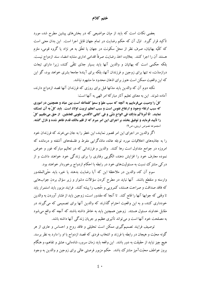ختم كلام

بعضی نکات است که باید از میان مواضیعی که در بخشهای پیشین مطرح شد، مورد تأکید قرار گیرد. اوّل آن که حکم رضایت در تمام جهان قابل اجرا است. این بدان معنی است که کلّیّه بهائیان، صرف نظر از محلّ سکونت در جهان یا تعلّق به هر نژاد یا گروه قومی، ملزم هستند آن را اجرا کنند. بعلاوه، اخذ رضایت صرفاً اقدامی اداری مشابه امضاء سند ازدواج نیست. بلکه حکمی است که بهائیان و والدین آنها باید بسیار جدّی تلقّی کنند، زیرا دارای تبعات درازمدّت، نه تنها برای زوجین و فرزندان آنها، بلکه برای آیندهٔ جامعهٔ بشری خواهد بود، گو این که این واقعیت ممکن است هنوز برای اذهان محدود ما مشهود نباشد.

نکته دوم آن که والدین باید مدّتها قبل برای روزی که فرزندان آنها قصد ازدواج دارند، آماده شوند. این به معنای تعلیم آثار مبارکهٔ امر الهی به آنها است:

کلّ را وصیت میفرماییم به آنچه که سبب علوّ و سموّ کلمةالله است بین عباد و همچنین در اموری که سبب ارتقاء وجود و ارتفاع نفوس است و سبب اعظم تربیت اولاد است. باید کلّ به آن تمسّک نمايند. انّا أمَرناكُم بذلكَ في الواحِ شتّى و في كتابي الأقدس طوبي للعاملين. از حق ميطلبيم كلّ را تأیید فرماید و توفیق بخشد بر اجرای این امر مبرم که از قلم مالک قدم ظاهر شده و نازل گشته. (مجموعه نصوص تربيتي، ص٩)

اگر والدین در اجرای این امر قصور نمایند، این خطر را به جان می خرند که فرزندان خود را به جاذبههای اخلاقیات مورد توجّه عامّه، مادّهگرایی مفرط و فلسفههای آشفته و درمانده که امروزه در جوامع متداول است رها كنند. والدين و فرزنداني كه در تعاليم مباركه غور و خوض نموده معارف خود را افزایش دهند، الگویی رفتاری را برای زندگی خود خواهند داشت و از درکی مشترک نسبت به مسئولیتهای خود در رابطه با احکام ازدواج برخوردار خواهند بود.

سوم آن که، والدین در ملاحظهٔ این که آیا رضایت بدهند یا خیر، باید حتّیالمقدور وارسته و منقطع باشند. آنها نباید در مطرح کردن سؤالات دشوار و زیر سؤال بردن جوابهایی که فاقد صداقت و صراحت هستند، کمرویی و حُجب را پیشه کنند. فرایند مزبور باید استمرار پابد تا وقتی که جوابها آنها را قانع کند. تا آنجا که مقدور است، زوجین باید از فشار آوردن به والدین خودداری کنند، و به این واقعیت احترام گذارند که والدین آنها برای تصمیمی که می گیرند در مقابل خداوند مسئول هستند. زوجین همچنین باید به خاطر داشته باشند که آنچه که واقع میشود به مصلحت خود آنها است و میتواند تأثیری عظیم بر جریان زندگی آنها داشته باشد.

توصیف فرایند تصمیمگیری ممکن است تحلیلی و فاقد روح و احساس و عاری از هر گونه محبّت و هیجان در رابطه با فرزند و انتخاب فردی که قصد ازدواج با او را دارد به نظر برسد. هیچ چیز نباید از حقیقت به دور باشد. این واقعه باید زمان سرور، شادمانی، عشق و تفاهم، و هنگام بروز عواطف محبّتآمیز مشترک باشد. حکم مزبور فرصتی عالی برای زوجین و والدین به وجود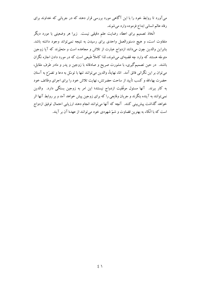می آورد تا روابط خود را با این آگاهی مورد بررسی قرار دهند که در جریانی که خداوند برای رفاه عالم انساني ابداع فرموده وارد مي شوند.

اتّخاذ تصمیم برای اعطاء رضایت علم دقیقی نیست. زیرا هر وضعیتی با مورد دیگر متفاوت است، و هیچ دستورالعمل واحدی برای رسیدن به نتیجه نمیتواند وجود داشته باشد. بنابراین والدین چون میدانند ازدواج عبارت از تلاش و مجاهده است و متحیّزند که آیا زوجین متوجّه هستند که وارد چه قضیهای میشوند، لذا کاملاً طبیعی است که در مورد دادن اجازه نگران باشند. در حین تصمیمگیری، با مشورت صریح و صادقانه با زوجین و پدر و مادر طرف مقابل، می توان بر این نگرانی فائق آمد. امّا، نهایتاً، والدین می توانند تنها با توسّل به دعا و تضرّع به آستان حضرت بهاءالله و كسب تأييد از ساحت حضرتش، نهايت تلاش خود را براي اجراي وظائف خود به کار ببرند. آنها مسئول موفَّقیت ازدواج نیستند؛ این امر به زوجین بستگی دارد. والدین نمی توانند به آینده بنگرند و جریان وقایعی را که برای زوجین پیش خواهد آمد و بر روابط آنها اثر خواهد گذاشت پیش بینی کنند. آنچه که آنها می توانند انجام دهند ارزیابی احتمال توفیق ازدواج است که با اتّکاء به بهترین قضاوت و شمّ شهودی خود می توانند از عهدهٔ آن بر آیند.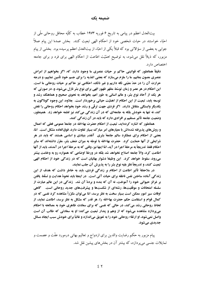بیتالعدل اعظم در پیامی به تاریخ ۶ فوریه ۱۹۷۳ خطاب به کلّیّه محافل روحانی ملّم از احبّاء خواستند در حیات شخصی خود از احکام الهی تبعیت کنند. بخش عمدهٔ این پیام عملاً جوابی به بعضی از سؤالاتی بود که قبلاً یکی از احبّاء از بیتالعدل اعظم پرسیده بود. بخشی از پیام مزبور، که ذیلاً نقل میشود، به توضیح اهمّیّت اطاعت از احکام الهی برای فرد و برای جامعه اختصاص دارد.

دقيقاً همانطور كه قوانيني حاكم بر حيات عنصري ما وجود دارد، كه، اگر بخواهيم از امراض عنصری مصون بمانیم، ما را ملزم میسازد که بعضی اغذیه را برای جسم خود تأمین نماییم، و درجه حرارت آن را در حدّ معيّني نگه داريم و غير ذلك، احكامي نيز حاكم بر حيات روحاني ما است. این احکام در هر عصر و زمان توسّط مظهر ظهور الهی برای نوع بشر نازل میشود، و، در صورتی که هر یک از آحاد نوع بشر، و عالم انسانی به طور اعم، بخواهد به نحوی صحیح و هماهنگ رشد و توسعه پابد، تبعیت از این احکام از اهمّیّت حیاتی برخوردار است. بعلاوه، این وجوه گوناگون به یکدیگر وابستگی متقابل دارند. اگر فردی جهت ترقّی و رشد خود بخواهد احکام روحانی را نقض کند، نه تنها به خودش بلکه به جامعهای که در آن زندگی می کند نیز لطمه خواهد زد. همینطور، وضعیت جامعه تأثیر مستقیم بر افرادی دارد که باید در آن زندگی کنند.

همانطور که اشاره کردهاید، تبعیت از احکام حضرت بهاءالله در جامعهٔ عمومی فعلی که اعمال و روشهای پذیرفته شدهاش با معیارهای امر مبارک بسیار تفاوت دارد، فوقالعاده مشکل است. امّا، بعضی از احکام برای عملکرد سالم جامعهٔ بشری آنقدر بنیادی و اساسی هستند که باید در هر شرایطی از آنها حمایت کرد. حضرت بهاءالله با توجّه به میزان ضعف بشر، مقرّر داشتهاند که سایر احكام فقط تدريجاً به مرحلة اجرا در آيد، امّا اينها نيز، وقتي كه به مرحلة اجرا در آمدند، بايد از آنها اطاعت کرد، والاّ جامعه اصلاح نخواهد شد بلکه در ورطهٔ اوضاعی که همواره رو به وخامت پیشتر میرود، سقوط خواهد کرد. آین وظیفهٔ دشوار بهائیان است که در زندگی خود از احکام الهی تبعیت کنند، و تدریجاً نظر بقیه نوع بشر را به پذیرش آن جلب نمایند.

در ملاحظهٔ تأثیر اطاعت از احکام بر زندگی فردی، باید به خاطر داشت که هدف از این زندگی آماده ساختن نفس ناطقه برای حیات آتی است. در اینجا باید نحوهٔ هدایت و تسلّط یافتن بر غرائز حيواني خود را آموخت، نه آن كه بنده و بردة آن شد. زندگي در اين عالم عبارت از سلسله امتحانات و موفَّقیتها، رشتهای از شکستها و پیشرفتهای جدید روحانی است. گاهی اوقات سیر امور ممکن است بسیار سخت به نظر برسد، امّا می توان مکرّراً مشاهده کرد نفسی که در کمال قوام و استقامت حکم حضرت بهاءالله را، هر قدر که مشکل به نظر برسد، اطاعت نماید، از لحاظ روحانی رشد می کند، در حالی که نفسی که برای سعادت ظاهری خود به مصالحه با احکام مي پردازد مشاهده مي شود كه از وهم و پندار تبعيت مي كند؛ او به سعادتي كه طالب آن است **واصل نمیشود، او ارتقاء روحانی خود را به تعویق میاندازد و غالباً برای خودش سبب ایجاد مسائل** جديدي مي شود.

پیام مزبور به حکم رضایت والدین برای ازدواج و تعالیم بهائی درمورد عفّت و عصمت و تمایلات جنسی می بر دازد، که بیشتر آن در بخش های پیشین نقل شد.